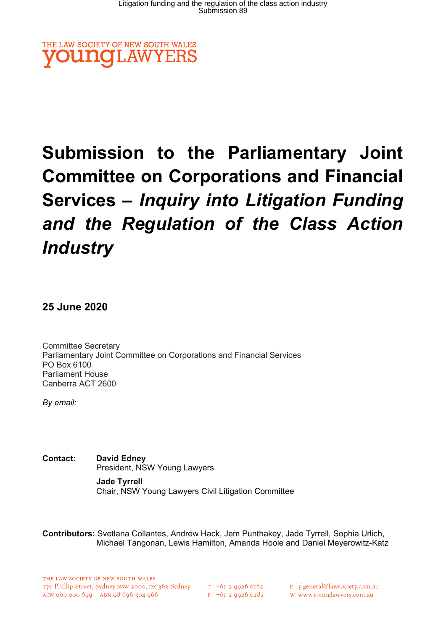

# Submission to the Parliamentary Joint Committee on Corporations and Financial Services – Inquiry into Litigation Funding and the Regulation of the Class Action **Industry**

25 June 2020

Committee Secretary Parliamentary Joint Committee on Corporations and Financial Services PO Box 6100 Parliament House Canberra ACT 2600

By email:

Contact: David Edney President, NSW Young Lawyers

> Jade Tyrrell Chair, NSW Young Lawyers Civil Litigation Committee

Contributors: Svetlana Collantes, Andrew Hack, Jem Punthakey, Jade Tyrrell, Sophia Urlich, Michael Tangonan, Lewis Hamilton, Amanda Hoole and Daniel Meyerowitz-Katz

E ylgeneral@lawsociety.com.au

w www.younglawyers.com.au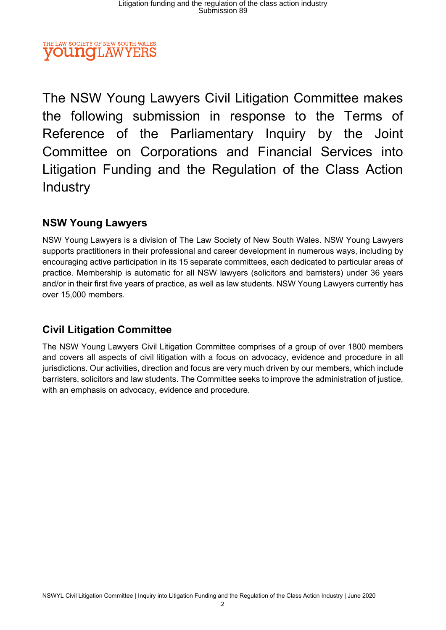### THE LAW SOCIETY OF NEW SOUTH WALES **OUNOLAW**

The NSW Young Lawyers Civil Litigation Committee makes the following submission in response to the Terms of Reference of the Parliamentary Inquiry by the Joint Committee on Corporations and Financial Services into Litigation Funding and the Regulation of the Class Action Industry

# NSW Young Lawyers

NSW Young Lawyers is a division of The Law Society of New South Wales. NSW Young Lawyers supports practitioners in their professional and career development in numerous ways, including by encouraging active participation in its 15 separate committees, each dedicated to particular areas of practice. Membership is automatic for all NSW lawyers (solicitors and barristers) under 36 years and/or in their first five years of practice, as well as law students. NSW Young Lawyers currently has over 15,000 members.

# Civil Litigation Committee

The NSW Young Lawyers Civil Litigation Committee comprises of a group of over 1800 members and covers all aspects of civil litigation with a focus on advocacy, evidence and procedure in all jurisdictions. Our activities, direction and focus are very much driven by our members, which include barristers, solicitors and law students. The Committee seeks to improve the administration of justice, with an emphasis on advocacy, evidence and procedure.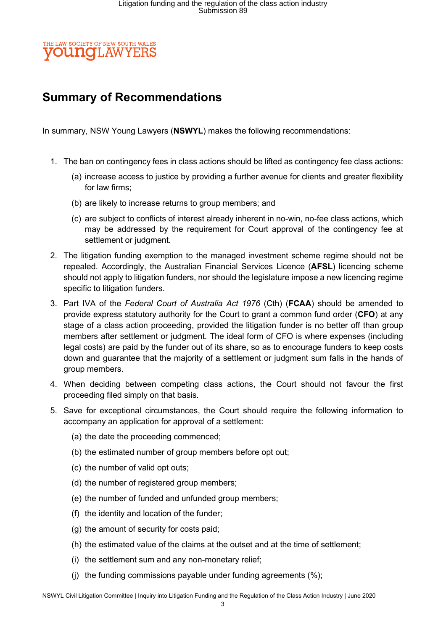### THE LAW SOCIETY OF NEW SOUTH WALES **OUNOLAW**

# Summary of Recommendations

In summary, NSW Young Lawyers (NSWYL) makes the following recommendations:

- 1. The ban on contingency fees in class actions should be lifted as contingency fee class actions:
	- (a) increase access to justice by providing a further avenue for clients and greater flexibility for law firms;
	- (b) are likely to increase returns to group members; and
	- (c) are subject to conflicts of interest already inherent in no-win, no-fee class actions, which may be addressed by the requirement for Court approval of the contingency fee at settlement or judgment.
- 2. The litigation funding exemption to the managed investment scheme regime should not be repealed. Accordingly, the Australian Financial Services Licence (AFSL) licencing scheme should not apply to litigation funders, nor should the legislature impose a new licencing regime specific to litigation funders.
- 3. Part IVA of the Federal Court of Australia Act 1976 (Cth) (FCAA) should be amended to provide express statutory authority for the Court to grant a common fund order (CFO) at any stage of a class action proceeding, provided the litigation funder is no better off than group members after settlement or judgment. The ideal form of CFO is where expenses (including legal costs) are paid by the funder out of its share, so as to encourage funders to keep costs down and guarantee that the majority of a settlement or judgment sum falls in the hands of group members.
- 4. When deciding between competing class actions, the Court should not favour the first proceeding filed simply on that basis.
- 5. Save for exceptional circumstances, the Court should require the following information to accompany an application for approval of a settlement:
	- (a) the date the proceeding commenced;
	- (b) the estimated number of group members before opt out;
	- (c) the number of valid opt outs;
	- (d) the number of registered group members;
	- (e) the number of funded and unfunded group members;
	- (f) the identity and location of the funder;
	- (g) the amount of security for costs paid;
	- (h) the estimated value of the claims at the outset and at the time of settlement;
	- (i) the settlement sum and any non-monetary relief;
	- (j) the funding commissions payable under funding agreements (%);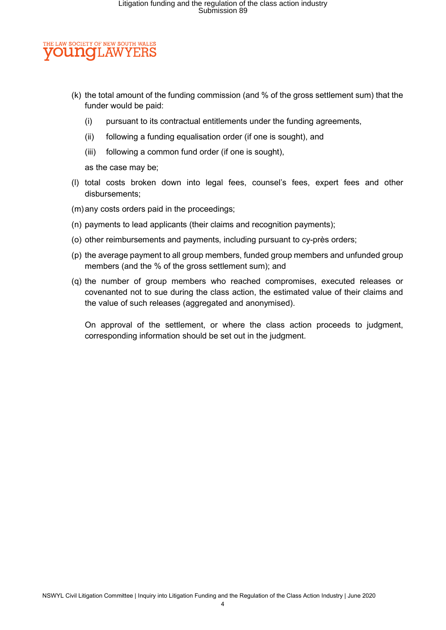#### E LAW SOCIETY OF NEW SOUTH WALES **OUNCLAW** YE

- (k) the total amount of the funding commission (and % of the gross settlement sum) that the funder would be paid:
	- (i) pursuant to its contractual entitlements under the funding agreements,
	- (ii) following a funding equalisation order (if one is sought), and
	- (iii) following a common fund order (if one is sought),

as the case may be;

- (l) total costs broken down into legal fees, counsel's fees, expert fees and other disbursements;
- (m) any costs orders paid in the proceedings;
- (n) payments to lead applicants (their claims and recognition payments);
- (o) other reimbursements and payments, including pursuant to cy-près orders;
- (p) the average payment to all group members, funded group members and unfunded group members (and the % of the gross settlement sum); and
- (q) the number of group members who reached compromises, executed releases or covenanted not to sue during the class action, the estimated value of their claims and the value of such releases (aggregated and anonymised).

On approval of the settlement, or where the class action proceeds to judgment, corresponding information should be set out in the judgment.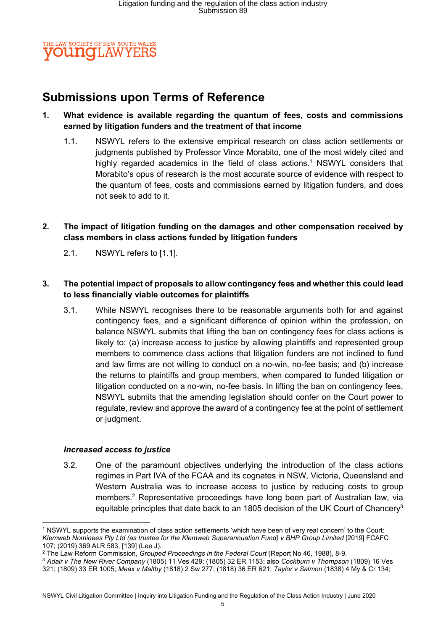

# Submissions upon Terms of Reference

### 1. What evidence is available regarding the quantum of fees, costs and commissions earned by litigation funders and the treatment of that income

- 1.1. NSWYL refers to the extensive empirical research on class action settlements or judgments published by Professor Vince Morabito, one of the most widely cited and highly regarded academics in the field of class actions.<sup>1</sup> NSWYL considers that Morabito's opus of research is the most accurate source of evidence with respect to the quantum of fees, costs and commissions earned by litigation funders, and does not seek to add to it.
- 2. The impact of litigation funding on the damages and other compensation received by class members in class actions funded by litigation funders
	- 2.1. NSWYL refers to [1.1].

### 3. The potential impact of proposals to allow contingency fees and whether this could lead to less financially viable outcomes for plaintiffs

3.1. While NSWYL recognises there to be reasonable arguments both for and against contingency fees, and a significant difference of opinion within the profession, on balance NSWYL submits that lifting the ban on contingency fees for class actions is likely to: (a) increase access to justice by allowing plaintiffs and represented group members to commence class actions that litigation funders are not inclined to fund and law firms are not willing to conduct on a no-win, no-fee basis; and (b) increase the returns to plaintiffs and group members, when compared to funded litigation or litigation conducted on a no-win, no-fee basis. In lifting the ban on contingency fees, NSWYL submits that the amending legislation should confer on the Court power to regulate, review and approve the award of a contingency fee at the point of settlement or judgment.

#### Increased access to justice

3.2. One of the paramount objectives underlying the introduction of the class actions regimes in Part IVA of the FCAA and its cognates in NSW, Victoria, Queensland and Western Australia was to increase access to justice by reducing costs to group members.<sup>2</sup> Representative proceedings have long been part of Australian law, via equitable principles that date back to an 1805 decision of the UK Court of Chancery<sup>3</sup>

<sup>3</sup> Adair v The New River Company (1805) 11 Ves 429; (1805) 32 ER 1153; also Cockburn v Thompson (1809) 16 Ves 321; (1809) 33 ER 1005; Meax v Maltby (1818) 2 Sw 277; (1818) 36 ER 621; Taylor v Salmon (1838) 4 My & Cr 134;

<sup>1</sup> NSWYL supports the examination of class action settlements 'which have been of very real concern' to the Court: Klemweb Nominees Pty Ltd (as trustee for the Klemweb Superannuation Fund) v BHP Group Limited [2019] FCAFC 107; (2019) 369 ALR 583, [139] (Lee J).

<sup>&</sup>lt;sup>2</sup> The Law Reform Commission, Grouped Proceedings in the Federal Court (Report No 46, 1988), 8-9.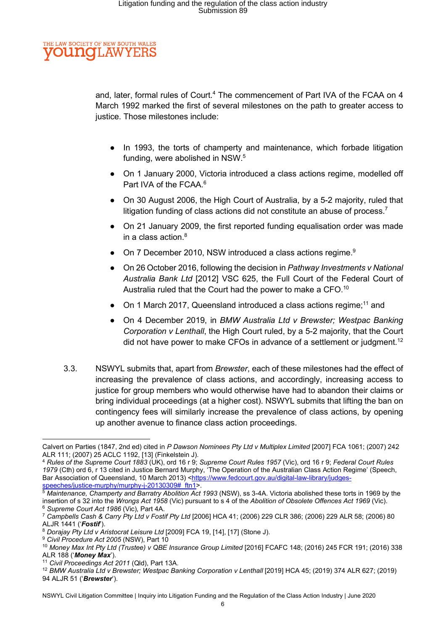#### THE LAW SOCIETY OF NEW SOUTH WALES **OUNGLAW** YEI

and, later, formal rules of Court.<sup>4</sup> The commencement of Part IVA of the FCAA on 4 March 1992 marked the first of several milestones on the path to greater access to justice. Those milestones include:

- In 1993, the torts of champerty and maintenance, which forbade litigation funding, were abolished in NSW.<sup>5</sup>
- On 1 January 2000, Victoria introduced a class actions regime, modelled off Part IVA of the FCAA.<sup>6</sup>
- On 30 August 2006, the High Court of Australia, by a 5-2 majority, ruled that litigation funding of class actions did not constitute an abuse of process.<sup>7</sup>
- On 21 January 2009, the first reported funding equalisation order was made in a class action. $^8\,$
- On 7 December 2010, NSW introduced a class actions regime.<sup>9</sup>
- On 26 October 2016, following the decision in Pathway Investments v National Australia Bank Ltd [2012] VSC 625, the Full Court of the Federal Court of Australia ruled that the Court had the power to make a CFO.<sup>10</sup>
- On 1 March 2017, Queensland introduced a class actions regime;<sup>11</sup> and
- On 4 December 2019, in BMW Australia Ltd v Brewster; Westpac Banking Corporation v Lenthall, the High Court ruled, by a 5-2 majority, that the Court did not have power to make CFOs in advance of a settlement or judgment.<sup>12</sup>
- 3.3. NSWYL submits that, apart from Brewster, each of these milestones had the effect of increasing the prevalence of class actions, and accordingly, increasing access to justice for group members who would otherwise have had to abandon their claims or bring individual proceedings (at a higher cost). NSWYL submits that lifting the ban on contingency fees will similarly increase the prevalence of class actions, by opening up another avenue to finance class action proceedings.

Calvert on Parties (1847, 2nd ed) cited in P Dawson Nominees Pty Ltd v Multiplex Limited [2007] FCA 1061; (2007) 242 ALR 111; (2007) 25 ACLC 1192, [13] (Finkelstein J).

<sup>4</sup> Rules of the Supreme Court 1883 (UK), ord 16 r 9; Supreme Court Rules 1957 (Vic), ord 16 r 9; Federal Court Rules 1979 (Cth) ord 6, r 13 cited in Justice Bernard Murphy, 'The Operation of the Australian Class Action Regime' (Speech, Bar Association of Queensland, 10 March 2013) <https://www.fedcourt.gov.au/digital-law-library/judgesspeeches/justice-murphy/murphy-j-20130309#\_ftn1>.

<sup>5</sup> Maintenance, Champerty and Barratry Abolition Act 1993 (NSW), ss 3-4A. Victoria abolished these torts in 1969 by the insertion of s 32 into the Wrongs Act 1958 (Vic) pursuant to s 4 of the Abolition of Obsolete Offences Act 1969 (Vic). <sup>6</sup> Supreme Court Act 1986 (Vic), Part 4A.

 $^7$  Campbells Cash & Carry Pty Ltd v Fostif Pty Ltd [2006] HCA 41; (2006) 229 CLR 386; (2006) 229 ALR 58; (2006) 80 ALJR 1441 ('Fostif').

<sup>8</sup> Dorajay Pty Ltd v Aristocrat Leisure Ltd [2009] FCA 19, [14], [17] (Stone J).

<sup>&</sup>lt;sup>9</sup> Civil Procedure Act 2005 (NSW), Part 10

<sup>10</sup> Money Max Int Pty Ltd (Trustee) v QBE Insurance Group Limited [2016] FCAFC 148; (2016) 245 FCR 191; (2016) 338 ALR 188 ('Money Max').

<sup>&</sup>lt;sup>11</sup> Civil Proceedings Act 2011 (Qld), Part 13A.

<sup>12</sup> BMW Australia Ltd v Brewster; Westpac Banking Corporation v Lenthall [2019] HCA 45; (2019) 374 ALR 627; (2019) 94 ALJR 51 ('Brewster').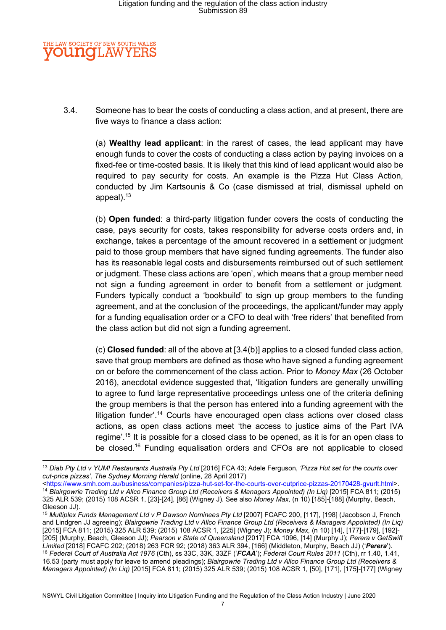#### THE LAW SOCIETY OF NEW SOUTH WALES **OUNGLAW** YE

3.4. Someone has to bear the costs of conducting a class action, and at present, there are five ways to finance a class action:

(a) Wealthy lead applicant: in the rarest of cases, the lead applicant may have enough funds to cover the costs of conducting a class action by paying invoices on a fixed-fee or time-costed basis. It is likely that this kind of lead applicant would also be required to pay security for costs. An example is the Pizza Hut Class Action, conducted by Jim Kartsounis & Co (case dismissed at trial, dismissal upheld on appeal).<sup>13</sup>

(b) Open funded: a third-party litigation funder covers the costs of conducting the case, pays security for costs, takes responsibility for adverse costs orders and, in exchange, takes a percentage of the amount recovered in a settlement or judgment paid to those group members that have signed funding agreements. The funder also has its reasonable legal costs and disbursements reimbursed out of such settlement or judgment. These class actions are 'open', which means that a group member need not sign a funding agreement in order to benefit from a settlement or judgment. Funders typically conduct a 'bookbuild' to sign up group members to the funding agreement, and at the conclusion of the proceedings, the applicant/funder may apply for a funding equalisation order or a CFO to deal with 'free riders' that benefited from the class action but did not sign a funding agreement.

(c) Closed funded: all of the above at [3.4(b)] applies to a closed funded class action, save that group members are defined as those who have signed a funding agreement on or before the commencement of the class action. Prior to Money Max (26 October 2016), anecdotal evidence suggested that, 'litigation funders are generally unwilling to agree to fund large representative proceedings unless one of the criteria defining the group members is that the person has entered into a funding agreement with the litigation funder'.<sup>14</sup> Courts have encouraged open class actions over closed class actions, as open class actions meet 'the access to justice aims of the Part IVA regime'.<sup>15</sup> It is possible for a closed class to be opened, as it is for an open class to be closed.<sup>16</sup> Funding equalisation orders and CFOs are not applicable to closed

<sup>&</sup>lt;sup>13</sup> Diab Pty Ltd v YUM! Restaurants Australia Pty Ltd [2016] FCA 43; Adele Ferguson, 'Pizza Hut set for the courts over cut-price pizzas', The Sydney Morning Herald (online, 28 April 2017)

<sup>&</sup>lt;https://www.smh.com.au/business/companies/pizza-hut-set-for-the-courts-over-cutprice-pizzas-20170428-gvurlt.html>. <sup>14</sup> Blairgowrie Trading Ltd v Allco Finance Group Ltd (Receivers & Managers Appointed) (In Liq) [2015] FCA 811; (2015) 325 ALR 539; (2015) 108 ACSR 1, [23]-[24], [86] (Wigney J). See also Money Max, (n 10) [185]-[188] (Murphy, Beach, Gleeson JJ).

<sup>&</sup>lt;sup>15</sup> Multiplex Funds Management Ltd v P Dawson Nominees Pty Ltd [2007] FCAFC 200, [117], [198] (Jacobson J, French and Lindgren JJ agreeing); Blairgowrie Trading Ltd v Allco Finance Group Ltd (Receivers & Managers Appointed) (In Liq) [2015] FCA 811; (2015) 325 ALR 539; (2015) 108 ACSR 1, [225] (Wigney J); Money Max, (n 10) [14], [177]-[179], [192]- [205] (Murphy, Beach, Gleeson JJ); Pearson v State of Queensland [2017] FCA 1096, [14] (Murphy J); Perera v GetSwift Limited [2018] FCAFC 202; (2018) 263 FCR 92; (2018) 363 ALR 394, [166] (Middleton, Murphy, Beach JJ) ('Perera'). <sup>16</sup> Federal Court of Australia Act 1976 (Cth), ss 33C, 33K, 33ZF ('FCAA'); Federal Court Rules 2011 (Cth), rr 1.40, 1.41, 16.53 (party must apply for leave to amend pleadings); Blairgowrie Trading Ltd v Allco Finance Group Ltd (Receivers & Managers Appointed) (In Liq) [2015] FCA 811; (2015) 325 ALR 539; (2015) 108 ACSR 1, [50], [171], [175]-[177] (Wigney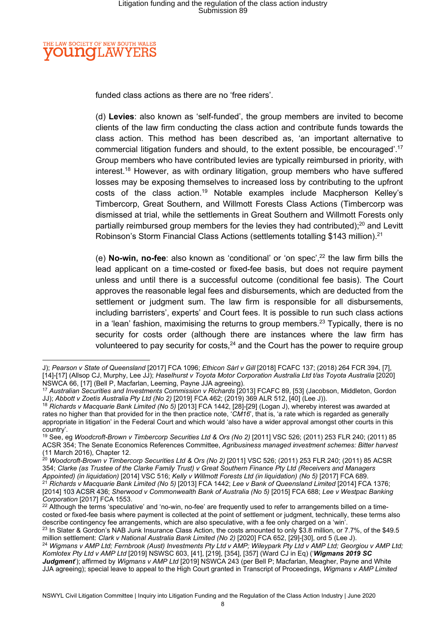#### THE LAW SOCIETY OF NEW SOUTH WALES **OUNGLAW** YE

funded class actions as there are no 'free riders'.

(d) Levies: also known as 'self-funded', the group members are invited to become clients of the law firm conducting the class action and contribute funds towards the class action. This method has been described as, 'an important alternative to commercial litigation funders and should, to the extent possible, be encouraged'.<sup>17</sup> Group members who have contributed levies are typically reimbursed in priority, with interest.<sup>18</sup> However, as with ordinary litigation, group members who have suffered losses may be exposing themselves to increased loss by contributing to the upfront costs of the class action.<sup>19</sup> Notable examples include Macpherson Kelley's Timbercorp, Great Southern, and Willmott Forests Class Actions (Timbercorp was dismissed at trial, while the settlements in Great Southern and Willmott Forests only partially reimbursed group members for the levies they had contributed):<sup>20</sup> and Levitt Robinson's Storm Financial Class Actions (settlements totalling \$143 million).<sup>21</sup>

(e) No-win, no-fee: also known as 'conditional' or 'on spec', $22$  the law firm bills the lead applicant on a time-costed or fixed-fee basis, but does not require payment unless and until there is a successful outcome (conditional fee basis). The Court approves the reasonable legal fees and disbursements, which are deducted from the settlement or judgment sum. The law firm is responsible for all disbursements, including barristers', experts' and Court fees. It is possible to run such class actions in a 'lean' fashion, maximising the returns to group members.<sup>23</sup> Typically, there is no security for costs order (although there are instances where the law firm has volunteered to pay security for costs, $24$  and the Court has the power to require group

J); Pearson v State of Queensland [2017] FCA 1096; Ethicon Sàrl v Gill [2018] FCAFC 137; (2018) 264 FCR 394, [7], [14]-[17] (Allsop CJ, Murphy, Lee JJ); Haselhurst v Toyota Motor Corporation Australia Ltd t/as Toyota Australia [2020] NSWCA 66, [17] (Bell P, Macfarlan, Leeming, Payne JJA agreeing).

<sup>17</sup> Australian Securities and Investments Commission v Richards [2013] FCAFC 89, [53] (Jacobson, Middleton, Gordon JJ); Abbott v Zoetis Australia Pty Ltd (No 2) [2019] FCA 462; (2019) 369 ALR 512, [40] (Lee J)).

<sup>18</sup> Richards v Macquarie Bank Limited (No 5) [2013] FCA 1442, [28]-[29] (Logan J), whereby interest was awarded at rates no higher than that provided for in the then practice note, 'CM16', that is, 'a rate which is regarded as generally appropriate in litigation' in the Federal Court and which would 'also have a wider approval amongst other courts in this country'.

<sup>19</sup> See, eg Woodcroft-Brown v Timbercorp Securities Ltd & Ors (No 2) [2011] VSC 526; (2011) 253 FLR 240; (2011) 85 ACSR 354; The Senate Economics References Committee, Agribusiness managed investment schemes: Bitter harvest (11 March 2016), Chapter 12.

 $^{20}$  Woodcroft-Brown v Timbercorp Securities Ltd & Ors (No 2) [2011] VSC 526; (2011) 253 FLR 240; (2011) 85 ACSR 354; Clarke (as Trustee of the Clarke Family Trust) v Great Southern Finance Pty Ltd (Receivers and Managers Appointed) (in liquidation) [2014] VSC 516; Kelly v Willmott Forests Ltd (in liquidation) (No 5) [2017] FCA 689. <sup>21</sup> Richards v Macquarie Bank Limited (No 5) [2013] FCA 1442; Lee v Bank of Queensland Limited [2014] FCA 1376; [2014] 103 ACSR 436; Sherwood v Commonwealth Bank of Australia (No 5) [2015] FCA 688; Lee v Westpac Banking Corporation [2017] FCA 1553.

 $22$  Although the terms 'speculative' and 'no-win, no-fee' are frequently used to refer to arrangements billed on a timecosted or fixed-fee basis where payment is collected at the point of settlement or judgment, technically, these terms also describe contingency fee arrangements, which are also speculative, with a fee only charged on a 'win'.

<sup>&</sup>lt;sup>23</sup> In Slater & Gordon's NAB Junk Insurance Class Action, the costs amounted to only \$3.8 million, or 7.7%, of the \$49.5 million settlement: Clark v National Australia Bank Limited (No 2) [2020] FCA 652, [29]-[30], ord 5 (Lee J).

<sup>&</sup>lt;sup>24</sup> Wigmans v AMP Ltd; Fernbrook (Aust) Investments Pty Ltd v AMP; Wileypark Pty Ltd v AMP Ltd; Georgiou v AMP Ltd; Komlotex Pty Ltd v AMP Ltd [2019] NSWSC 603, [41], [219], [354], [357] (Ward CJ in Eq) ('Wigmans 2019 SC Judgment'); affirmed by Wigmans v AMP Ltd [2019] NSWCA 243 (per Bell P; Macfarlan, Meagher, Payne and White JJA agreeing); special leave to appeal to the High Court granted in Transcript of Proceedings, Wigmans v AMP Limited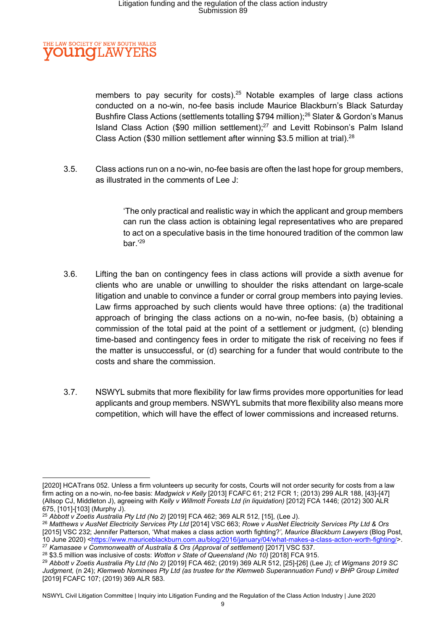#### **IE LAW SOCIETY OF NEW SOUTH WALES OUNCLAW** YE

members to pay security for costs).<sup>25</sup> Notable examples of large class actions conducted on a no-win, no-fee basis include Maurice Blackburn's Black Saturday Bushfire Class Actions (settlements totalling \$794 million);<sup>26</sup> Slater & Gordon's Manus Island Class Action (\$90 million settlement);<sup>27</sup> and Levitt Robinson's Palm Island Class Action (\$30 million settlement after winning \$3.5 million at trial).<sup>28</sup>

3.5. Class actions run on a no-win, no-fee basis are often the last hope for group members, as illustrated in the comments of Lee J:

> 'The only practical and realistic way in which the applicant and group members can run the class action is obtaining legal representatives who are prepared to act on a speculative basis in the time honoured tradition of the common law bar.'<sup>29</sup>

- 3.6. Lifting the ban on contingency fees in class actions will provide a sixth avenue for clients who are unable or unwilling to shoulder the risks attendant on large-scale litigation and unable to convince a funder or corral group members into paying levies. Law firms approached by such clients would have three options: (a) the traditional approach of bringing the class actions on a no-win, no-fee basis, (b) obtaining a commission of the total paid at the point of a settlement or judgment, (c) blending time-based and contingency fees in order to mitigate the risk of receiving no fees if the matter is unsuccessful, or (d) searching for a funder that would contribute to the costs and share the commission.
- 3.7. NSWYL submits that more flexibility for law firms provides more opportunities for lead applicants and group members. NSWYL submits that more flexibility also means more competition, which will have the effect of lower commissions and increased returns.

<sup>[2020]</sup> HCATrans 052. Unless a firm volunteers up security for costs, Courts will not order security for costs from a law firm acting on a no-win, no-fee basis: Madgwick v Kelly [2013] FCAFC 61; 212 FCR 1; (2013) 299 ALR 188, [43]-[47] (Allsop CJ, Middleton J), agreeing with Kelly v Willmott Forests Ltd (in liquidation) [2012] FCA 1446; (2012) 300 ALR 675, [101]-[103] (Murphy J).

<sup>25</sup> Abbott v Zoetis Australia Pty Ltd (No 2) [2019] FCA 462; 369 ALR 512, [15], (Lee J).

<sup>&</sup>lt;sup>26</sup> Matthews v AusNet Electricity Services Pty Ltd [2014] VSC 663; Rowe v AusNet Electricity Services Pty Ltd & Ors [2015] VSC 232; Jennifer Patterson, 'What makes a class action worth fighting?', Maurice Blackburn Lawyers (Blog Post, 10 June 2020) <https://www.mauriceblackburn.com.au/blog/2016/january/04/what-makes-a-class-action-worth-fighting/>. <sup>27</sup> Kamasaee v Commonwealth of Australia & Ors (Approval of settlement) [2017] VSC 537.

 $28$  \$3.5 million was inclusive of costs: Wotton v State of Queensland (No 10) [2018] FCA 915.

<sup>29</sup> Abbott v Zoetis Australia Pty Ltd (No 2) [2019] FCA 462; (2019) 369 ALR 512, [25]-[26] (Lee J); cf Wigmans 2019 SC Judgment, (n 24); Klemweb Nominees Pty Ltd (as trustee for the Klemweb Superannuation Fund) v BHP Group Limited [2019] FCAFC 107; (2019) 369 ALR 583.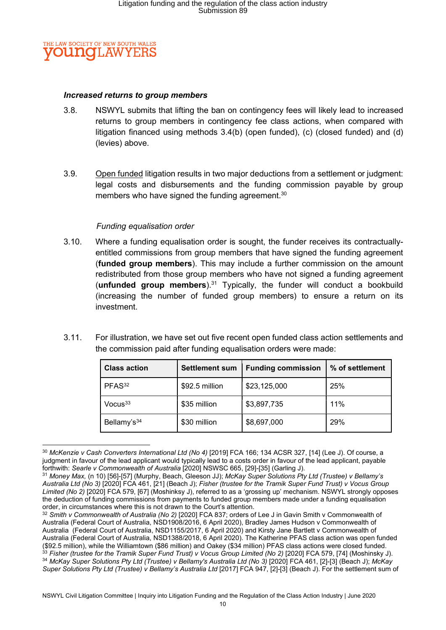

#### Increased returns to group members

- 3.8. NSWYL submits that lifting the ban on contingency fees will likely lead to increased returns to group members in contingency fee class actions, when compared with litigation financed using methods 3.4(b) (open funded), (c) (closed funded) and (d) (levies) above.
- 3.9. Open funded litigation results in two major deductions from a settlement or judgment: legal costs and disbursements and the funding commission payable by group members who have signed the funding agreement.<sup>30</sup>

#### Funding equalisation order

- 3.10. Where a funding equalisation order is sought, the funder receives its contractuallyentitled commissions from group members that have signed the funding agreement (funded group members). This may include a further commission on the amount redistributed from those group members who have not signed a funding agreement (unfunded group members).<sup>31</sup> Typically, the funder will conduct a bookbuild (increasing the number of funded group members) to ensure a return on its investment.
- 3.11. For illustration, we have set out five recent open funded class action settlements and the commission paid after funding equalisation orders were made:

| <b>Class action</b>     | <b>Settlement sum</b> | <b>Funding commission</b> | % of settlement |
|-------------------------|-----------------------|---------------------------|-----------------|
| PFAS <sup>32</sup>      | \$92.5 million        | \$23,125,000              | 25%             |
| Vocus <sup>33</sup>     | \$35 million          | \$3,897,735               | 11%             |
| Bellamy's <sup>34</sup> | \$30 million          | \$8,697,000               | 29%             |

 $30$  McKenzie v Cash Converters International Ltd (No 4) [2019] FCA 166; 134 ACSR 327, [14] (Lee J). Of course, a judgment in favour of the lead applicant would typically lead to a costs order in favour of the lead applicant, payable forthwith: Searle v Commonwealth of Australia [2020] NSWSC 665, [29]-[35] (Garling J).

<sup>31</sup> Money Max, (n 10) [56]-[57] (Murphy, Beach, Gleeson JJ); McKay Super Solutions Pty Ltd (Trustee) v Bellamy's Australia Ltd (No 3) [2020] FCA 461, [21] (Beach J); Fisher (trustee for the Tramik Super Fund Trust) v Vocus Group Limited (No 2) [2020] FCA 579, [67] (Moshinksy J), referred to as a 'grossing up' mechanism. NSWYL strongly opposes the deduction of funding commissions from payments to funded group members made under a funding equalisation order, in circumstances where this is not drawn to the Court's attention.

<sup>32</sup> Smith v Commonwealth of Australia (No 2) [2020] FCA 837; orders of Lee J in Gavin Smith v Commonwealth of Australia (Federal Court of Australia, NSD1908/2016, 6 April 2020), Bradley James Hudson v Commonwealth of Australia (Federal Court of Australia, NSD1155/2017, 6 April 2020) and Kirsty Jane Bartlett v Commonwealth of Australia (Federal Court of Australia, NSD1388/2018, 6 April 2020). The Katherine PFAS class action was open funded (\$92.5 million), while the Williamtown (\$86 million) and Oakey (\$34 million) PFAS class actions were closed funded.  $33$  Fisher (trustee for the Tramik Super Fund Trust) v Vocus Group Limited (No 2) [2020] FCA 579, [74] (Moshinsky J). 34 McKay Super Solutions Pty Ltd (Trustee) v Bellamy's Australia Ltd (No 3) [2020] FCA 461, [2]-[3] (Beach J); McKay Super Solutions Pty Ltd (Trustee) v Bellamy's Australia Ltd [2017] FCA 947, [2]-[3] (Beach J). For the settlement sum of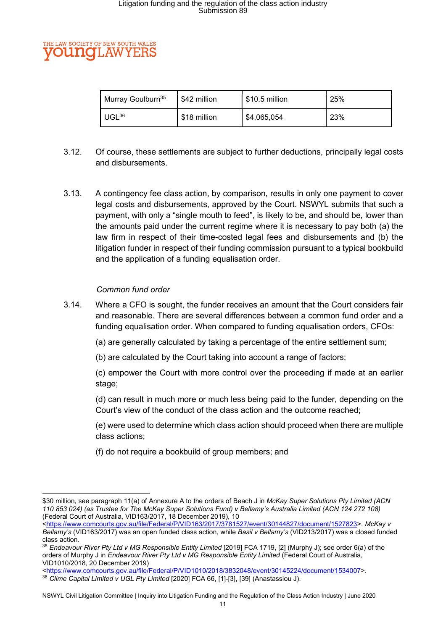#### LAW SOCIETY OF NEW SOUTH WALES TMOH. AW

| <sup>1</sup> Murray Goulburn <sup>35</sup> | \$42 million | \$10.5 million | 25% |
|--------------------------------------------|--------------|----------------|-----|
| $UGL^{36}$                                 | \$18 million | \$4,065,054    | 23% |

- 3.12. Of course, these settlements are subject to further deductions, principally legal costs and disbursements.
- 3.13. A contingency fee class action, by comparison, results in only one payment to cover legal costs and disbursements, approved by the Court. NSWYL submits that such a payment, with only a "single mouth to feed", is likely to be, and should be, lower than the amounts paid under the current regime where it is necessary to pay both (a) the law firm in respect of their time-costed legal fees and disbursements and (b) the litigation funder in respect of their funding commission pursuant to a typical bookbuild and the application of a funding equalisation order.

### Common fund order

- 3.14. Where a CFO is sought, the funder receives an amount that the Court considers fair and reasonable. There are several differences between a common fund order and a funding equalisation order. When compared to funding equalisation orders, CFOs:
	- (a) are generally calculated by taking a percentage of the entire settlement sum;
	- (b) are calculated by the Court taking into account a range of factors;
	- (c) empower the Court with more control over the proceeding if made at an earlier stage;
	- (d) can result in much more or much less being paid to the funder, depending on the Court's view of the conduct of the class action and the outcome reached;
	- (e) were used to determine which class action should proceed when there are multiple class actions;
	- (f) do not require a bookbuild of group members; and

<sup>\$30</sup> million, see paragraph 11(a) of Annexure A to the orders of Beach J in McKay Super Solutions Pty Limited (ACN 110 853 024) (as Trustee for The McKay Super Solutions Fund) v Bellamy's Australia Limited (ACN 124 272 108) (Federal Court of Australia, VID163/2017, 18 December 2019), 10

<sup>&</sup>lt;https://www.comcourts.gov.au/file/Federal/P/VID163/2017/3781527/event/30144827/document/1527823>. McKay v Bellamy's (VID163/2017) was an open funded class action, while Basil v Bellamy's (VID213/2017) was a closed funded class action.

<sup>35</sup> Endeavour River Pty Ltd v MG Responsible Entity Limited [2019] FCA 1719, [2] (Murphy J); see order 6(a) of the orders of Murphy J in Endeavour River Pty Ltd v MG Responsible Entity Limited (Federal Court of Australia, VID1010/2018, 20 December 2019)

<sup>&</sup>lt;https://www.comcourts.gov.au/file/Federal/P/VID1010/2018/3832048/event/30145224/document/1534007>. 36 Clime Capital Limited v UGL Pty Limited [2020] FCA 66, [1]-[3], [39] (Anastassiou J).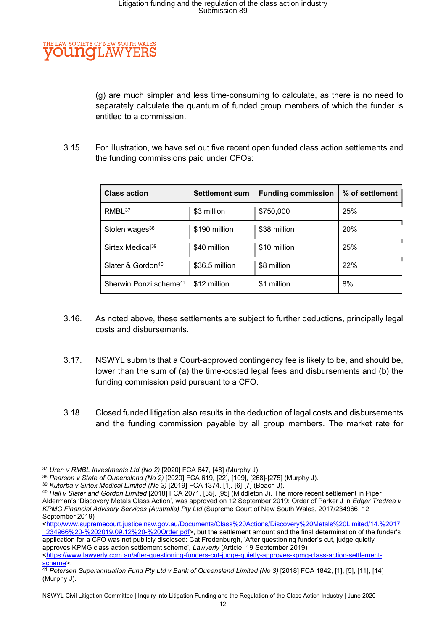

(g) are much simpler and less time-consuming to calculate, as there is no need to separately calculate the quantum of funded group members of which the funder is entitled to a commission.

3.15. For illustration, we have set out five recent open funded class action settlements and the funding commissions paid under CFOs:

| <b>Class action</b>                | <b>Settlement sum</b> | <b>Funding commission</b> | % of settlement |
|------------------------------------|-----------------------|---------------------------|-----------------|
| RMBL <sup>37</sup>                 | \$3 million           | \$750,000                 | 25%             |
| Stolen wages <sup>38</sup>         | \$190 million         | \$38 million              | 20%             |
| Sirtex Medical <sup>39</sup>       | \$40 million          | \$10 million              | 25%             |
| Slater & Gordon <sup>40</sup>      | \$36.5 million        | \$8 million               | 22%             |
| Sherwin Ponzi scheme <sup>41</sup> | \$12 million          | \$1 million               | 8%              |

- 3.16. As noted above, these settlements are subject to further deductions, principally legal costs and disbursements.
- 3.17. NSWYL submits that a Court-approved contingency fee is likely to be, and should be, lower than the sum of (a) the time-costed legal fees and disbursements and (b) the funding commission paid pursuant to a CFO.
- 3.18. Closed funded litigation also results in the deduction of legal costs and disbursements and the funding commission payable by all group members. The market rate for

<sup>&</sup>lt;sup>37</sup> Uren v RMBL Investments Ltd (No 2) [2020] FCA 647, [48] (Murphy J).

<sup>38</sup> Pearson v State of Queensland (No 2) [2020] FCA 619, [22], [109], [268]-[275] (Murphy J).

<sup>39</sup> Kuterba v Sirtex Medical Limited (No 3) [2019] FCA 1374, [1], [6]-[7] (Beach J).

<sup>&</sup>lt;sup>40</sup> Hall v Slater and Gordon Limited [2018] FCA 2071, [35], [95] (Middleton J). The more recent settlement in Piper

Alderman's 'Discovery Metals Class Action', was approved on 12 September 2019: Order of Parker J in Edgar Tredrea v KPMG Financial Advisory Services (Australia) Pty Ltd (Supreme Court of New South Wales, 2017/234966, 12 September 2019)

<sup>&</sup>lt;http://www.supremecourt.justice.nsw.gov.au/Documents/Class%20Actions/Discovery%20Metals%20Limited/14.%2017 \_234966%20-%202019.09.12%20-%20Order.pdf>, but the settlement amount and the final determination of the funder's application for a CFO was not publicly disclosed: Cat Fredenburgh, 'After questioning funder's cut, judge quietly

approves KPMG class action settlement scheme', Lawyerly (Article, 19 September 2019) <https://www.lawyerly.com.au/after-questioning-funders-cut-judge-quietly-approves-kpmg-class-action-settlementscheme>.

<sup>&</sup>lt;sup>41</sup> Petersen Superannuation Fund Pty Ltd v Bank of Queensland Limited (No 3) [2018] FCA 1842, [1], [5], [11], [14] (Murphy J).

NSWYL Civil Litigation Committee | Inquiry into Litigation Funding and the Regulation of the Class Action Industry | June 2020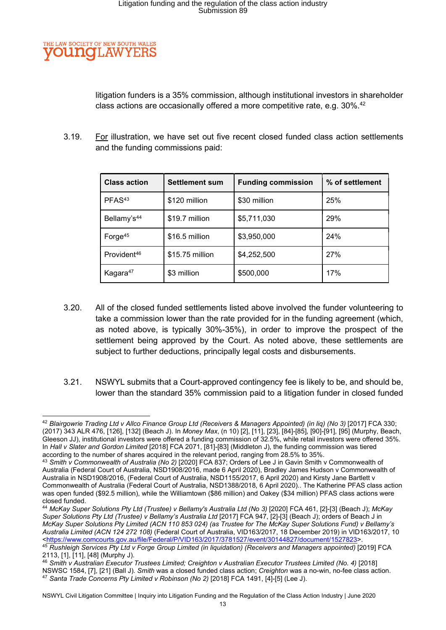

litigation funders is a 35% commission, although institutional investors in shareholder class actions are occasionally offered a more competitive rate, e.g.  $30\%$ .<sup>42</sup>

3.19. For illustration, we have set out five recent closed funded class action settlements and the funding commissions paid:

| <b>Class action</b>     | <b>Settlement sum</b> | <b>Funding commission</b> | % of settlement |
|-------------------------|-----------------------|---------------------------|-----------------|
| PFAS <sup>43</sup>      | \$120 million         | \$30 million              | 25%             |
| Bellamy's <sup>44</sup> | \$19.7 million        | \$5,711,030               | 29%             |
| Forge <sup>45</sup>     | \$16.5 million        | \$3,950,000               | 24%             |
| Provident <sup>46</sup> | \$15.75 million       | \$4,252,500               | 27%             |
| Kagara <sup>47</sup>    | \$3 million           | \$500,000                 | 17%             |

- 3.20. All of the closed funded settlements listed above involved the funder volunteering to take a commission lower than the rate provided for in the funding agreement (which, as noted above, is typically 30%-35%), in order to improve the prospect of the settlement being approved by the Court. As noted above, these settlements are subject to further deductions, principally legal costs and disbursements.
- 3.21. NSWYL submits that a Court-approved contingency fee is likely to be, and should be, lower than the standard 35% commission paid to a litigation funder in closed funded

<sup>44</sup> McKay Super Solutions Pty Ltd (Trustee) v Bellamy's Australia Ltd (No 3) [2020] FCA 461, [2]-[3] (Beach J); McKay Super Solutions Pty Ltd (Trustee) v Bellamy's Australia Ltd [2017] FCA 947, [2]-[3] (Beach J); orders of Beach J in McKay Super Solutions Pty Limited (ACN 110 853 024) (as Trustee for The McKay Super Solutions Fund) v Bellamy's Australia Limited (ACN 124 272 108) (Federal Court of Australia, VID163/2017, 18 December 2019) in VID163/2017, 10 <https://www.comcourts.gov.au/file/Federal/P/VID163/2017/3781527/event/30144827/document/1527823>. 45 Rushleigh Services Pty Ltd v Forge Group Limited (in liquidation) (Receivers and Managers appointed) [2019] FCA 2113, [1], [11], [48] (Murphy J).

<sup>42</sup> Blairgowrie Trading Ltd v Allco Finance Group Ltd (Receivers & Managers Appointed) (in liq) (No 3) [2017] FCA 330; (2017) 343 ALR 476, [126], [132] (Beach J). In Money Max, (n 10) [2], [11], [23], [84]-[85], [90]-[91], [95] (Murphy, Beach, Gleeson JJ), institutional investors were offered a funding commission of 32.5%, while retail investors were offered 35%. In Hall v Slater and Gordon Limited [2018] FCA 2071, [81]-[83] (Middleton J), the funding commission was tiered according to the number of shares acquired in the relevant period, ranging from 28.5% to 35%.

<sup>43</sup> Smith v Commonwealth of Australia (No 2) [2020] FCA 837; Orders of Lee J in Gavin Smith v Commonwealth of Australia (Federal Court of Australia, NSD1908/2016, made 6 April 2020), Bradley James Hudson v Commonwealth of Australia in NSD1908/2016, (Federal Court of Australia, NSD1155/2017, 6 April 2020) and Kirsty Jane Bartlett v Commonwealth of Australia (Federal Court of Australia, NSD1388/2018, 6 April 2020).. The Katherine PFAS class action was open funded (\$92.5 million), while the Williamtown (\$86 million) and Oakey (\$34 million) PFAS class actions were closed funded.

<sup>46</sup> Smith v Australian Executor Trustees Limited; Creighton v Australian Executor Trustees Limited (No. 4) [2018] NSWSC 1584, [7], [21] (Ball J). Smith was a closed funded class action; Creighton was a no-win, no-fee class action.  $47$  Santa Trade Concerns Pty Limited v Robinson (No 2) [2018] FCA 1491, [4]-[5] (Lee J).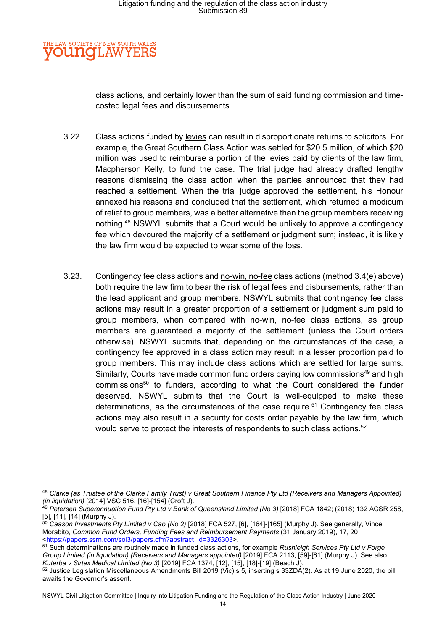#### **IE LAW SOCIETY OF NEW SOUTH WALES OUNCLAW** YE

class actions, and certainly lower than the sum of said funding commission and timecosted legal fees and disbursements.

- 3.22. Class actions funded by levies can result in disproportionate returns to solicitors. For example, the Great Southern Class Action was settled for \$20.5 million, of which \$20 million was used to reimburse a portion of the levies paid by clients of the law firm, Macpherson Kelly, to fund the case. The trial judge had already drafted lengthy reasons dismissing the class action when the parties announced that they had reached a settlement. When the trial judge approved the settlement, his Honour annexed his reasons and concluded that the settlement, which returned a modicum of relief to group members, was a better alternative than the group members receiving nothing.<sup>48</sup> NSWYL submits that a Court would be unlikely to approve a contingency fee which devoured the majority of a settlement or judgment sum; instead, it is likely the law firm would be expected to wear some of the loss.
- 3.23. Contingency fee class actions and no-win, no-fee class actions (method 3.4(e) above) both require the law firm to bear the risk of legal fees and disbursements, rather than the lead applicant and group members. NSWYL submits that contingency fee class actions may result in a greater proportion of a settlement or judgment sum paid to group members, when compared with no-win, no-fee class actions, as group members are guaranteed a majority of the settlement (unless the Court orders otherwise). NSWYL submits that, depending on the circumstances of the case, a contingency fee approved in a class action may result in a lesser proportion paid to group members. This may include class actions which are settled for large sums. Similarly, Courts have made common fund orders paying low commissions<sup>49</sup> and high commissions<sup>50</sup> to funders, according to what the Court considered the funder deserved. NSWYL submits that the Court is well-equipped to make these determinations, as the circumstances of the case require.<sup>51</sup> Contingency fee class actions may also result in a security for costs order payable by the law firm, which would serve to protect the interests of respondents to such class actions. $52$

<sup>48</sup> Clarke (as Trustee of the Clarke Family Trust) v Great Southern Finance Pty Ltd (Receivers and Managers Appointed) (in liquidation) [2014] VSC 516, [16]-[154] (Croft J).

<sup>&</sup>lt;sup>49</sup> Petersen Superannuation Fund Pty Ltd v Bank of Queensland Limited (No 3) [2018] FCA 1842; (2018) 132 ACSR 258, [5], [11], [14] (Murphy J).

 $^{50}$  Caason Investments Pty Limited v Cao (No 2) [2018] FCA 527, [6], [164]-[165] (Murphy J). See generally, Vince Morabito, Common Fund Orders, Funding Fees and Reimbursement Payments (31 January 2019), 17, 20 <https://papers.ssrn.com/sol3/papers.cfm?abstract\_id=3326303>.

<sup>51</sup> Such determinations are routinely made in funded class actions, for example Rushleigh Services Pty Ltd v Forge Group Limited (in liquidation) (Receivers and Managers appointed) [2019] FCA 2113, [59]-[61] (Murphy J). See also Kuterba v Sirtex Medical Limited (No 3) [2019] FCA 1374, [12], [15], [18]-[19] (Beach J).

<sup>52</sup> Justice Legislation Miscellaneous Amendments Bill 2019 (Vic) s 5, inserting s 33ZDA(2). As at 19 June 2020, the bill awaits the Governor's assent.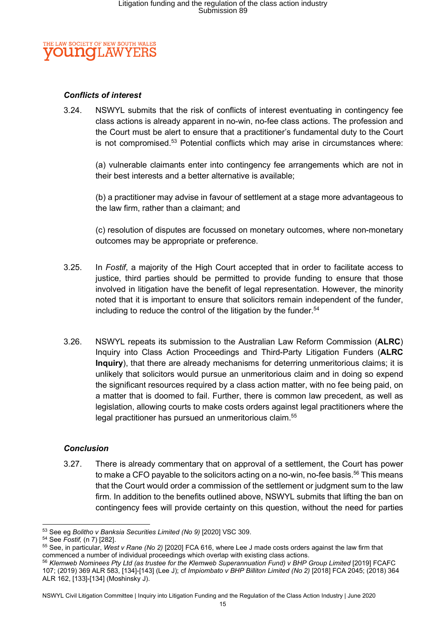

#### Conflicts of interest

3.24. NSWYL submits that the risk of conflicts of interest eventuating in contingency fee class actions is already apparent in no-win, no-fee class actions. The profession and the Court must be alert to ensure that a practitioner's fundamental duty to the Court is not compromised.<sup>53</sup> Potential conflicts which may arise in circumstances where:

(a) vulnerable claimants enter into contingency fee arrangements which are not in their best interests and a better alternative is available;

(b) a practitioner may advise in favour of settlement at a stage more advantageous to the law firm, rather than a claimant; and

(c) resolution of disputes are focussed on monetary outcomes, where non-monetary outcomes may be appropriate or preference.

- 3.25. In Fostif, a majority of the High Court accepted that in order to facilitate access to justice, third parties should be permitted to provide funding to ensure that those involved in litigation have the benefit of legal representation. However, the minority noted that it is important to ensure that solicitors remain independent of the funder, including to reduce the control of the litigation by the funder.<sup>54</sup>
- 3.26. NSWYL repeats its submission to the Australian Law Reform Commission (ALRC) Inquiry into Class Action Proceedings and Third-Party Litigation Funders (ALRC Inquiry), that there are already mechanisms for deterring unmeritorious claims; it is unlikely that solicitors would pursue an unmeritorious claim and in doing so expend the significant resources required by a class action matter, with no fee being paid, on a matter that is doomed to fail. Further, there is common law precedent, as well as legislation, allowing courts to make costs orders against legal practitioners where the legal practitioner has pursued an unmeritorious claim.<sup>55</sup>

#### **Conclusion**

3.27. There is already commentary that on approval of a settlement, the Court has power to make a CFO payable to the solicitors acting on a no-win, no-fee basis.<sup>56</sup> This means that the Court would order a commission of the settlement or judgment sum to the law firm. In addition to the benefits outlined above, NSWYL submits that lifting the ban on contingency fees will provide certainty on this question, without the need for parties

<sup>53</sup> See eg Bolitho v Banksia Securities Limited (No 9) [2020] VSC 309.

<sup>54</sup> See Fostif, (n 7) [282].

<sup>55</sup> See, in particular, West v Rane (No 2) [2020] FCA 616, where Lee J made costs orders against the law firm that commenced a number of individual proceedings which overlap with existing class actions.

<sup>56</sup> Klemweb Nominees Pty Ltd (as trustee for the Klemweb Superannuation Fund) v BHP Group Limited [2019] FCAFC 107; (2019) 369 ALR 583, [134]-[143] (Lee J); cf Impiombato v BHP Billiton Limited (No 2) [2018] FCA 2045; (2018) 364 ALR 162, [133]-[134] (Moshinsky J).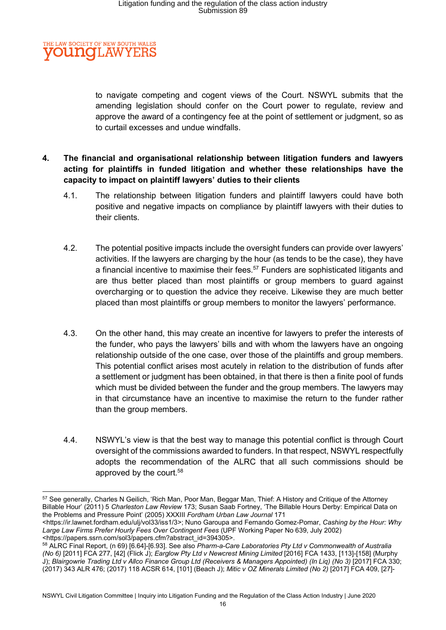

to navigate competing and cogent views of the Court. NSWYL submits that the amending legislation should confer on the Court power to regulate, review and approve the award of a contingency fee at the point of settlement or judgment, so as to curtail excesses and undue windfalls.

### 4. The financial and organisational relationship between litigation funders and lawyers acting for plaintiffs in funded litigation and whether these relationships have the capacity to impact on plaintiff lawyers' duties to their clients

- 4.1. The relationship between litigation funders and plaintiff lawyers could have both positive and negative impacts on compliance by plaintiff lawyers with their duties to their clients.
- 4.2. The potential positive impacts include the oversight funders can provide over lawyers' activities. If the lawyers are charging by the hour (as tends to be the case), they have a financial incentive to maximise their fees.<sup>57</sup> Funders are sophisticated litigants and are thus better placed than most plaintiffs or group members to guard against overcharging or to question the advice they receive. Likewise they are much better placed than most plaintiffs or group members to monitor the lawyers' performance.
- 4.3. On the other hand, this may create an incentive for lawyers to prefer the interests of the funder, who pays the lawyers' bills and with whom the lawyers have an ongoing relationship outside of the one case, over those of the plaintiffs and group members. This potential conflict arises most acutely in relation to the distribution of funds after a settlement or judgment has been obtained, in that there is then a finite pool of funds which must be divided between the funder and the group members. The lawyers may in that circumstance have an incentive to maximise the return to the funder rather than the group members.
- 4.4. NSWYL's view is that the best way to manage this potential conflict is through Court oversight of the commissions awarded to funders. In that respect, NSWYL respectfully adopts the recommendation of the ALRC that all such commissions should be approved by the court.<sup>58</sup>

<sup>57</sup> See generally, Charles N Geilich, 'Rich Man, Poor Man, Beggar Man, Thief: A History and Critique of the Attorney Billable Hour' (2011) 5 Charleston Law Review 173; Susan Saab Fortney, 'The Billable Hours Derby: Empirical Data on the Problems and Pressure Point' (2005) XXXIII Fordham Urban Law Journal 171

<sup>&</sup>lt;https://ir.lawnet.fordham.edu/ulj/vol33/iss1/3>; Nuno Garoupa and Fernando Gomez-Pomar, Cashing by the Hour: Why Large Law Firms Prefer Hourly Fees Over Contingent Fees (UPF Working Paper No 639, July 2002) <https://papers.ssrn.com/sol3/papers.cfm?abstract\_id=394305>.

<sup>58</sup> ALRC Final Report, (n 69) [6.64]-[6.93]. See also Pharm-a-Care Laboratories Pty Ltd v Commonwealth of Australia (No 6) [2011] FCA 277, [42] (Flick J); Earglow Pty Ltd v Newcrest Mining Limited [2016] FCA 1433, [113]-[158] (Murphy J); Blairgowrie Trading Ltd v Allco Finance Group Ltd (Receivers & Managers Appointed) (In Liq) (No 3) [2017] FCA 330; (2017) 343 ALR 476; (2017) 118 ACSR 614, [101] (Beach J); Mitic v OZ Minerals Limited (No 2) [2017] FCA 409, [27]-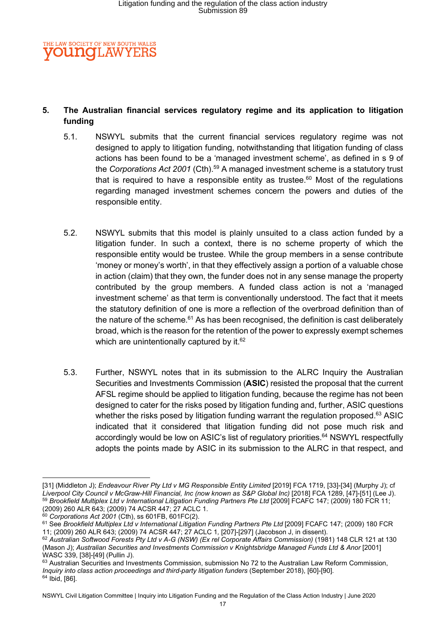

### 5. The Australian financial services regulatory regime and its application to litigation funding

- 5.1. NSWYL submits that the current financial services regulatory regime was not designed to apply to litigation funding, notwithstanding that litigation funding of class actions has been found to be a 'managed investment scheme', as defined in s 9 of the Corporations Act 2001 (Cth).<sup>59</sup> A managed investment scheme is a statutory trust that is required to have a responsible entity as trustee.<sup>60</sup> Most of the requilations regarding managed investment schemes concern the powers and duties of the responsible entity.
- 5.2. NSWYL submits that this model is plainly unsuited to a class action funded by a litigation funder. In such a context, there is no scheme property of which the responsible entity would be trustee. While the group members in a sense contribute 'money or money's worth', in that they effectively assign a portion of a valuable chose in action (claim) that they own, the funder does not in any sense manage the property contributed by the group members. A funded class action is not a 'managed investment scheme' as that term is conventionally understood. The fact that it meets the statutory definition of one is more a reflection of the overbroad definition than of the nature of the scheme. $61$  As has been recognised, the definition is cast deliberately broad, which is the reason for the retention of the power to expressly exempt schemes which are unintentionally captured by it. $62$
- 5.3. Further, NSWYL notes that in its submission to the ALRC Inquiry the Australian Securities and Investments Commission (ASIC) resisted the proposal that the current AFSL regime should be applied to litigation funding, because the regime has not been designed to cater for the risks posed by litigation funding and, further, ASIC questions whether the risks posed by litigation funding warrant the regulation proposed.<sup>63</sup> ASIC indicated that it considered that litigation funding did not pose much risk and accordingly would be low on ASIC's list of regulatory priorities.<sup>64</sup> NSWYL respectfully adopts the points made by ASIC in its submission to the ALRC in that respect, and

<sup>[31] (</sup>Middleton J); Endeavour River Pty Ltd v MG Responsible Entity Limited [2019] FCA 1719, [33]-[34] (Murphy J); cf Liverpool City Council v McGraw-Hill Financial, Inc (now known as S&P Global Inc) [2018] FCA 1289, [47]-[51] (Lee J). 59 Brookfield Multiplex Ltd v International Litigation Funding Partners Pte Ltd [2009] FCAFC 147; (2009) 180 FCR 11; (2009) 260 ALR 643; (2009) 74 ACSR 447; 27 ACLC 1.

 $60$  Corporations Act 2001 (Cth), ss 601FB, 601FC(2).

<sup>&</sup>lt;sup>61</sup> See Brookfield Multiplex Ltd v International Litigation Funding Partners Pte Ltd [2009] FCAFC 147; (2009) 180 FCR 11; (2009) 260 ALR 643; (2009) 74 ACSR 447; 27 ACLC 1, [207]-[297] (Jacobson J, in dissent).

<sup>62</sup> Australian Softwood Forests Pty Ltd v A-G (NSW) (Ex rel Corporate Affairs Commission) (1981) 148 CLR 121 at 130 (Mason J); Australian Securities and Investments Commission v Knightsbridge Managed Funds Ltd & Anor [2001] WASC 339, [38]-[49] (Pullin J).

<sup>63</sup> Australian Securities and Investments Commission, submission No 72 to the Australian Law Reform Commission, Inquiry into class action proceedings and third-party litigation funders (September 2018), [60]-[90]. <sup>64</sup> Ibid, [86].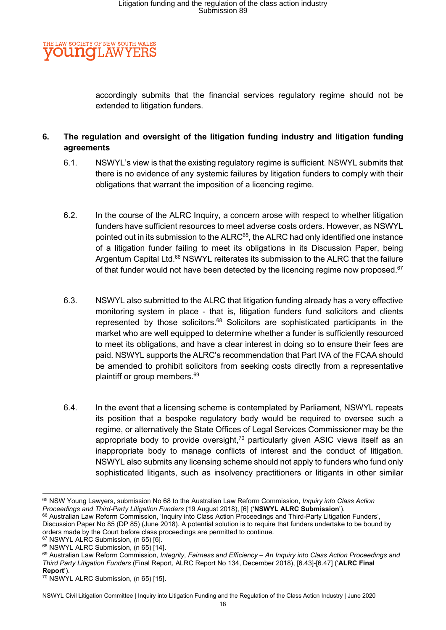

accordingly submits that the financial services regulatory regime should not be extended to litigation funders.

### 6. The regulation and oversight of the litigation funding industry and litigation funding agreements

- 6.1. NSWYL's view is that the existing regulatory regime is sufficient. NSWYL submits that there is no evidence of any systemic failures by litigation funders to comply with their obligations that warrant the imposition of a licencing regime.
- 6.2. In the course of the ALRC Inquiry, a concern arose with respect to whether litigation funders have sufficient resources to meet adverse costs orders. However, as NSWYL pointed out in its submission to the ALRC<sup>65</sup>, the ALRC had only identified one instance of a litigation funder failing to meet its obligations in its Discussion Paper, being Argentum Capital Ltd.<sup>66</sup> NSWYL reiterates its submission to the ALRC that the failure of that funder would not have been detected by the licencing regime now proposed.<sup>67</sup>
- 6.3. NSWYL also submitted to the ALRC that litigation funding already has a very effective monitoring system in place - that is, litigation funders fund solicitors and clients represented by those solicitors.<sup>68</sup> Solicitors are sophisticated participants in the market who are well equipped to determine whether a funder is sufficiently resourced to meet its obligations, and have a clear interest in doing so to ensure their fees are paid. NSWYL supports the ALRC's recommendation that Part IVA of the FCAA should be amended to prohibit solicitors from seeking costs directly from a representative plaintiff or group members.<sup>69</sup>
- 6.4. In the event that a licensing scheme is contemplated by Parliament, NSWYL repeats its position that a bespoke regulatory body would be required to oversee such a regime, or alternatively the State Offices of Legal Services Commissioner may be the appropriate body to provide oversight, $70$  particularly given ASIC views itself as an inappropriate body to manage conflicts of interest and the conduct of litigation. NSWYL also submits any licensing scheme should not apply to funders who fund only sophisticated litigants, such as insolvency practitioners or litigants in other similar

<sup>65</sup> NSW Young Lawyers, submission No 68 to the Australian Law Reform Commission, Inquiry into Class Action Proceedings and Third-Party Litigation Funders (19 August 2018), [6] ('NSWYL ALRC Submission'). <sup>66</sup> Australian Law Reform Commission, 'Inquiry into Class Action Proceedings and Third-Party Litigation Funders',

Discussion Paper No 85 (DP 85) (June 2018). A potential solution is to require that funders undertake to be bound by orders made by the Court before class proceedings are permitted to continue.

<sup>67</sup> NSWYL ALRC Submission, (n 65) [6].

<sup>68</sup> NSWYL ALRC Submission, (n 65) [14].

<sup>69</sup> Australian Law Reform Commission, Integrity, Fairness and Efficiency - An Inquiry into Class Action Proceedings and Third Party Litigation Funders (Final Report, ALRC Report No 134, December 2018), [6.43]-[6.47] ('ALRC Final Report').

<sup>70</sup> NSWYL ALRC Submission, (n 65) [15].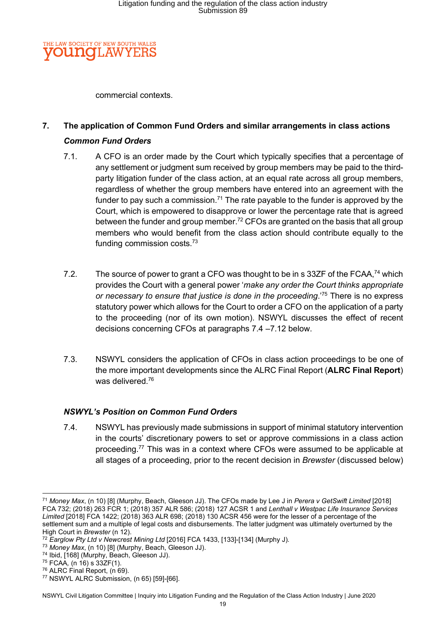

commercial contexts.

## 7. The application of Common Fund Orders and similar arrangements in class actions Common Fund Orders

- 7.1. A CFO is an order made by the Court which typically specifies that a percentage of any settlement or judgment sum received by group members may be paid to the thirdparty litigation funder of the class action, at an equal rate across all group members, regardless of whether the group members have entered into an agreement with the funder to pay such a commission.<sup>71</sup> The rate payable to the funder is approved by the Court, which is empowered to disapprove or lower the percentage rate that is agreed between the funder and group member.<sup>72</sup> CFOs are granted on the basis that all group members who would benefit from the class action should contribute equally to the funding commission costs.<sup>73</sup>
- 7.2. The source of power to grant a CFO was thought to be in s 33ZF of the FCAA,<sup>74</sup> which provides the Court with a general power 'make any order the Court thinks appropriate or necessary to ensure that justice is done in the proceeding.<sup>75</sup> There is no express statutory power which allows for the Court to order a CFO on the application of a party to the proceeding (nor of its own motion). NSWYL discusses the effect of recent decisions concerning CFOs at paragraphs 7.4 –7.12 below.
- 7.3. NSWYL considers the application of CFOs in class action proceedings to be one of the more important developments since the ALRC Final Report (ALRC Final Report) was delivered.<sup>76</sup>

### NSWYL's Position on Common Fund Orders

7.4. NSWYL has previously made submissions in support of minimal statutory intervention in the courts' discretionary powers to set or approve commissions in a class action proceeding.<sup>77</sup> This was in a context where CFOs were assumed to be applicable at all stages of a proceeding, prior to the recent decision in Brewster (discussed below)

 $75$  FCAA, (n 16) s 33ZF(1).

<sup>&</sup>lt;sup>71</sup> Money Max, (n 10) [8] (Murphy, Beach, Gleeson JJ). The CFOs made by Lee J in Perera v GetSwift Limited [2018] FCA 732; (2018) 263 FCR 1; (2018) 357 ALR 586; (2018) 127 ACSR 1 and Lenthall v Westpac Life Insurance Services Limited [2018] FCA 1422; (2018) 363 ALR 698; (2018) 130 ACSR 456 were for the lesser of a percentage of the settlement sum and a multiple of legal costs and disbursements. The latter judgment was ultimately overturned by the High Court in Brewster (n 12).

 $72$  Earglow Pty Ltd v Newcrest Mining Ltd [2016] FCA 1433, [133]-[134] (Murphy J).

<sup>73</sup> Money Max, (n 10) [8] (Murphy, Beach, Gleeson JJ).

<sup>74</sup> Ibid, [168] (Murphy, Beach, Gleeson JJ).

<sup>76</sup> ALRC Final Report, (n 69).

<sup>77</sup> NSWYL ALRC Submission, (n 65) [59]-[66].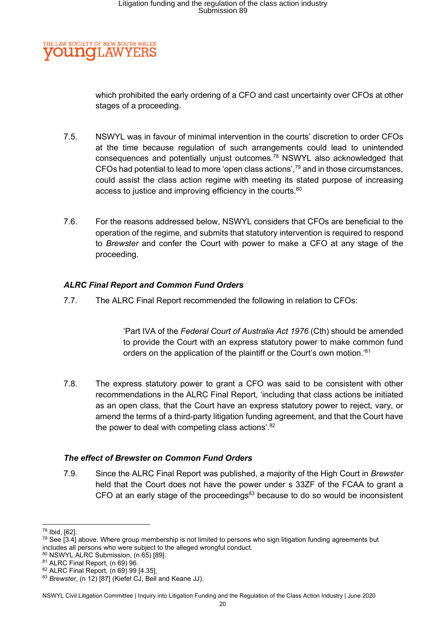#### E LAW SOCIETY OF NEW SOUTH WALES **OUNGLAW** ΥF

which prohibited the early ordering of a CFO and cast uncertainty over CFOs at other stages of a proceeding.

- 7.5. NSWYL was in favour of minimal intervention in the courts' discretion to order CFOs at the time because regulation of such arrangements could lead to unintended consequences and potentially unjust outcomes.<sup>78</sup> NSWYL also acknowledged that CFOs had potential to lead to more 'open class actions', $^{79}$  and in those circumstances, could assist the class action regime with meeting its stated purpose of increasing access to justice and improving efficiency in the courts.<sup>80</sup>
- 7.6. For the reasons addressed below, NSWYL considers that CFOs are beneficial to the operation of the regime, and submits that statutory intervention is required to respond to Brewster and confer the Court with power to make a CFO at any stage of the proceeding.

### ALRC Final Report and Common Fund Orders

7.7. The ALRC Final Report recommended the following in relation to CFOs:

'Part IVA of the Federal Court of Australia Act 1976 (Cth) should be amended to provide the Court with an express statutory power to make common fund orders on the application of the plaintiff or the Court's own motion.<sup>'81</sup>

7.8. The express statutory power to grant a CFO was said to be consistent with other recommendations in the ALRC Final Report, 'including that class actions be initiated as an open class, that the Court have an express statutory power to reject, vary, or amend the terms of a third-party litigation funding agreement, and that the Court have the power to deal with competing class actions'. $82$ 

### The effect of Brewster on Common Fund Orders

7.9. Since the ALRC Final Report was published, a majority of the High Court in Brewster held that the Court does not have the power under s 33ZF of the FCAA to grant a CFO at an early stage of the proceedings $83$  because to do so would be inconsistent

<sup>78</sup> Ibid, [62].

 $79$  See [3.4] above. Where group membership is not limited to persons who sign litigation funding agreements but includes all persons who were subject to the alleged wrongful conduct.

<sup>80</sup> NSWYL ALRC Submission, (n 65) [89].

<sup>81</sup> ALRC Final Report, (n 69) 96.

<sup>82</sup> ALRC Final Report, (n 69) 99 [4.35].

<sup>83</sup> Brewster, (n 12) [87] (Kiefel CJ, Bell and Keane JJ).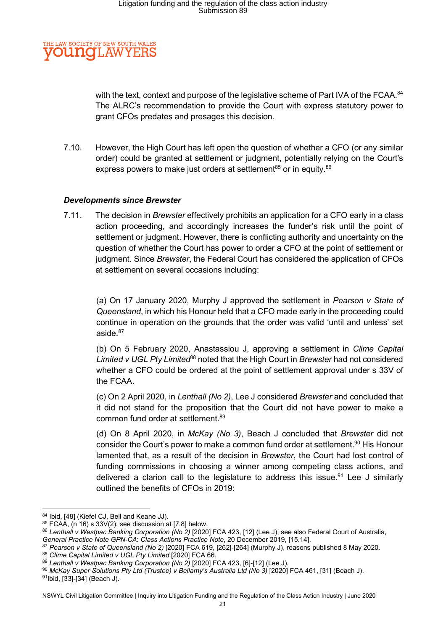

with the text, context and purpose of the legislative scheme of Part IVA of the FCAA. <sup>84</sup> The ALRC's recommendation to provide the Court with express statutory power to grant CFOs predates and presages this decision.

7.10. However, the High Court has left open the question of whether a CFO (or any similar order) could be granted at settlement or judgment, potentially relying on the Court's express powers to make just orders at settlement<sup>85</sup> or in equity. $86$ 

#### Developments since Brewster

7.11. The decision in Brewster effectively prohibits an application for a CFO early in a class action proceeding, and accordingly increases the funder's risk until the point of settlement or judgment. However, there is conflicting authority and uncertainty on the question of whether the Court has power to order a CFO at the point of settlement or judgment. Since Brewster, the Federal Court has considered the application of CFOs at settlement on several occasions including:

(a) On 17 January 2020, Murphy J approved the settlement in Pearson v State of Queensland, in which his Honour held that a CFO made early in the proceeding could continue in operation on the grounds that the order was valid 'until and unless' set aside.<sup>87</sup>

(b) On 5 February 2020, Anastassiou J, approving a settlement in Clime Capital Limited v UGL Pty Limited<sup>68</sup> noted that the High Court in Brewster had not considered whether a CFO could be ordered at the point of settlement approval under s 33V of the FCAA.

(c) On 2 April 2020, in Lenthall (No 2), Lee J considered Brewster and concluded that it did not stand for the proposition that the Court did not have power to make a common fund order at settlement.<sup>89</sup>

(d) On 8 April 2020, in McKay (No 3), Beach J concluded that Brewster did not consider the Court's power to make a common fund order at settlement.<sup>90</sup> His Honour lamented that, as a result of the decision in Brewster, the Court had lost control of funding commissions in choosing a winner among competing class actions, and delivered a clarion call to the legislature to address this issue.<sup>91</sup> Lee J similarly outlined the benefits of CFOs in 2019:

<sup>84</sup> Ibid, [48] (Kiefel CJ, Bell and Keane JJ).

 $85$  FCAA, (n 16) s 33V(2); see discussion at [7.8] below.

<sup>86</sup> Lenthall v Westpac Banking Corporation (No 2) [2020] FCA 423, [12] (Lee J); see also Federal Court of Australia,

General Practice Note GPN-CA: Class Actions Practice Note, 20 December 2019, [15.14].

<sup>87</sup> Pearson v State of Queensland (No 2) [2020] FCA 619, [262]-[264] (Murphy J), reasons published 8 May 2020. 88 Clime Capital Limited v UGL Pty Limited [2020] FCA 66.

<sup>89</sup> Lenthall v Westpac Banking Corporation (No 2) [2020] FCA 423, [6]-[12] (Lee J).

<sup>90</sup> McKay Super Solutions Pty Ltd (Trustee) v Bellamy's Australia Ltd (No 3) [2020] FCA 461, [31] (Beach J).

<sup>91</sup>Ibid, [33]-[34] (Beach J).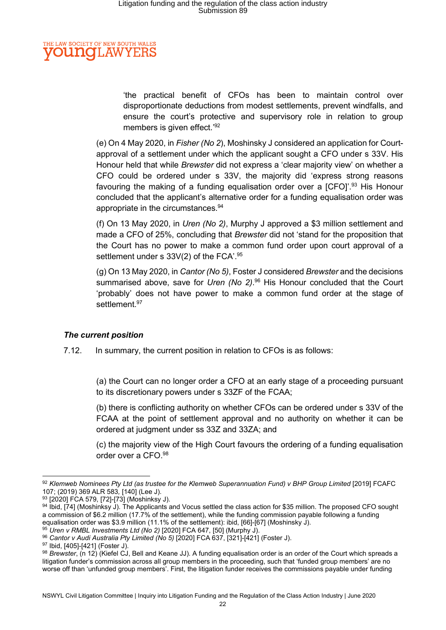#### E LAW SOCIETY OF NEW SOUTH WALES **OUNCLAW** YE

'the practical benefit of CFOs has been to maintain control over disproportionate deductions from modest settlements, prevent windfalls, and ensure the court's protective and supervisory role in relation to group members is given effect.'92

(e) On 4 May 2020, in Fisher (No 2), Moshinsky J considered an application for Courtapproval of a settlement under which the applicant sought a CFO under s 33V. His Honour held that while Brewster did not express a 'clear majority view' on whether a CFO could be ordered under s 33V, the majority did 'express strong reasons favouring the making of a funding equalisation order over a [CFO]<sup>'', 93</sup> His Honour concluded that the applicant's alternative order for a funding equalisation order was appropriate in the circumstances.<sup>94</sup>

(f) On 13 May 2020, in Uren (No 2), Murphy J approved a \$3 million settlement and made a CFO of 25%, concluding that Brewster did not 'stand for the proposition that the Court has no power to make a common fund order upon court approval of a settlement under s  $33V(2)$  of the FCA'.<sup>95</sup>

(g) On 13 May 2020, in Cantor (No 5), Foster J considered Brewster and the decisions summarised above, save for Uren (No 2).<sup>96</sup> His Honour concluded that the Court 'probably' does not have power to make a common fund order at the stage of settlement.<sup>97</sup>

### The current position

7.12. In summary, the current position in relation to CFOs is as follows:

(a) the Court can no longer order a CFO at an early stage of a proceeding pursuant to its discretionary powers under s 33ZF of the FCAA;

(b) there is conflicting authority on whether CFOs can be ordered under s 33V of the FCAA at the point of settlement approval and no authority on whether it can be ordered at judgment under ss 33Z and 33ZA; and

(c) the majority view of the High Court favours the ordering of a funding equalisation order over a CFO.<sup>98</sup>

 $\frac{95}{95}$  Uren v RMBL Investments Ltd (No 2) [2020] FCA 647, [50] (Murphy J).

<sup>97</sup> Ibid, [405]-[421] (Foster J).

<sup>92</sup> Klemweb Nominees Pty Ltd (as trustee for the Klemweb Superannuation Fund) v BHP Group Limited [2019] FCAFC 107; (2019) 369 ALR 583, [140] (Lee J).

<sup>93 [2020]</sup> FCA 579, [72]-[73] (Moshinksy J).

<sup>94</sup> Ibid, [74] (Moshinksy J). The Applicants and Vocus settled the class action for \$35 million. The proposed CFO sought a commission of \$6.2 million (17.7% of the settlement), while the funding commission payable following a funding equalisation order was \$3.9 million (11.1% of the settlement): ibid, [66]-[67] (Moshinsky J).

<sup>96</sup> Cantor v Audi Australia Pty Limited (No 5) [2020] FCA 637, [321]-[421] (Foster J).

 $98$  Brewster, (n 12) (Kiefel CJ, Bell and Keane JJ). A funding equalisation order is an order of the Court which spreads a litigation funder's commission across all group members in the proceeding, such that 'funded group members' are no worse off than 'unfunded group members'. First, the litigation funder receives the commissions payable under funding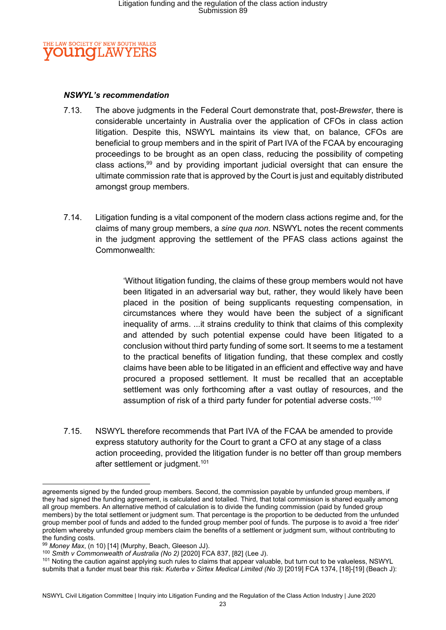

#### NSWYL's recommendation

- 7.13. The above judgments in the Federal Court demonstrate that, post-Brewster, there is considerable uncertainty in Australia over the application of CFOs in class action litigation. Despite this, NSWYL maintains its view that, on balance, CFOs are beneficial to group members and in the spirit of Part IVA of the FCAA by encouraging proceedings to be brought as an open class, reducing the possibility of competing class actions,  $99$  and by providing important judicial oversight that can ensure the ultimate commission rate that is approved by the Court is just and equitably distributed amongst group members.
- 7.14. Litigation funding is a vital component of the modern class actions regime and, for the claims of many group members, a sine qua non. NSWYL notes the recent comments in the judgment approving the settlement of the PFAS class actions against the Commonwealth:

'Without litigation funding, the claims of these group members would not have been litigated in an adversarial way but, rather, they would likely have been placed in the position of being supplicants requesting compensation, in circumstances where they would have been the subject of a significant inequality of arms. ...it strains credulity to think that claims of this complexity and attended by such potential expense could have been litigated to a conclusion without third party funding of some sort. It seems to me a testament to the practical benefits of litigation funding, that these complex and costly claims have been able to be litigated in an efficient and effective way and have procured a proposed settlement. It must be recalled that an acceptable settlement was only forthcoming after a vast outlay of resources, and the assumption of risk of a third party funder for potential adverse costs.'<sup>100</sup>

7.15. NSWYL therefore recommends that Part IVA of the FCAA be amended to provide express statutory authority for the Court to grant a CFO at any stage of a class action proceeding, provided the litigation funder is no better off than group members after settlement or judgment.<sup>101</sup>

agreements signed by the funded group members. Second, the commission payable by unfunded group members, if they had signed the funding agreement, is calculated and totalled. Third, that total commission is shared equally among all group members. An alternative method of calculation is to divide the funding commission (paid by funded group members) by the total settlement or judgment sum. That percentage is the proportion to be deducted from the unfunded group member pool of funds and added to the funded group member pool of funds. The purpose is to avoid a 'free rider' problem whereby unfunded group members claim the benefits of a settlement or judgment sum, without contributing to the funding costs.

 $99$  Money Max, (n 10) [14] (Murphy, Beach, Gleeson JJ).

<sup>&</sup>lt;sup>100</sup> Smith v Commonwealth of Australia (No 2) [2020] FCA 837, [82] (Lee J).

<sup>&</sup>lt;sup>101</sup> Noting the caution against applying such rules to claims that appear valuable, but turn out to be valueless, NSWYL submits that a funder must bear this risk: Kuterba v Sirtex Medical Limited (No 3) [2019] FCA 1374, [18]-[19] (Beach J):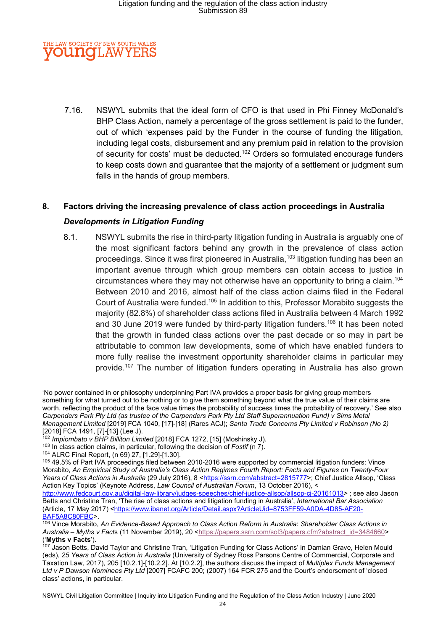

7.16. NSWYL submits that the ideal form of CFO is that used in Phi Finney McDonald's BHP Class Action, namely a percentage of the gross settlement is paid to the funder, out of which 'expenses paid by the Funder in the course of funding the litigation, including legal costs, disbursement and any premium paid in relation to the provision of security for costs' must be deducted.<sup>102</sup> Orders so formulated encourage funders to keep costs down and guarantee that the majority of a settlement or judgment sum falls in the hands of group members.

### 8. Factors driving the increasing prevalence of class action proceedings in Australia

#### Developments in Litigation Funding

8.1. NSWYL submits the rise in third-party litigation funding in Australia is arguably one of the most significant factors behind any growth in the prevalence of class action proceedings. Since it was first pioneered in Australia,<sup>103</sup> litigation funding has been an important avenue through which group members can obtain access to justice in circumstances where they may not otherwise have an opportunity to bring a claim.<sup>104</sup> Between 2010 and 2016, almost half of the class action claims filed in the Federal Court of Australia were funded.<sup>105</sup> In addition to this, Professor Morabito suggests the majority (82.8%) of shareholder class actions filed in Australia between 4 March 1992 and 30 June 2019 were funded by third-party litigation funders.<sup>106</sup> It has been noted that the growth in funded class actions over the past decade or so may in part be attributable to common law developments, some of which have enabled funders to more fully realise the investment opportunity shareholder claims in particular may provide.<sup>107</sup> The number of litigation funders operating in Australia has also grown

<sup>&#</sup>x27;No power contained in or philosophy underpinning Part IVA provides a proper basis for giving group members something for what turned out to be nothing or to give them something beyond what the true value of their claims are worth, reflecting the product of the face value times the probability of success times the probability of recovery.' See also Carpenders Park Pty Ltd (as trustee of the Carpenders Park Pty Ltd Staff Superannuation Fund) v Sims Metal Management Limited [2019] FCA 1040, [17]-[18] (Rares ACJ); Santa Trade Concerns Pty Limited v Robinson (No 2) [2018] FCA 1491, [7]-[13] (Lee J).

<sup>102</sup> Impiombato v BHP Billiton Limited [2018] FCA 1272, [15] (Moshinsky J).

 $103$  In class action claims, in particular, following the decision of Fostif (n 7).

<sup>104</sup> ALRC Final Report, (n 69) 27, [1.29]-[1.30].

<sup>105 49.5%</sup> of Part IVA proceedings filed between 2010-2016 were supported by commercial litigation funders: Vince Morabito, An Empirical Study of Australia's Class Action Regimes Fourth Report: Facts and Figures on Twenty-Four Years of Class Actions in Australia (29 July 2016), 8 <https://ssrn.com/abstract=2815777>; Chief Justice Allsop, 'Class Action Key Topics' (Keynote Address, Law Council of Australian Forum, 13 October 2016), <

http://www.fedcourt.gov.au/digital-law-library/judges-speeches/chief-justice-allsop/allsop-cj-20161013> ; see also Jason Betts and Christine Tran, 'The rise of class actions and litigation funding in Australia', International Bar Association (Article, 17 May 2017) <https://www.ibanet.org/Article/Detail.aspx?ArticleUid=8753FF59-A0DA-4D85-AF20- BAF5A8C80FBC>.

<sup>106</sup> Vince Morabito, An Evidence-Based Approach to Class Action Reform in Australia: Shareholder Class Actions in Australia – Myths v Facts (11 November 2019), 20 <https://papers.ssrn.com/sol3/papers.cfm?abstract\_id=3484660> ('Myths v Facts').

<sup>107</sup> Jason Betts, David Taylor and Christine Tran, 'Litigation Funding for Class Actions' in Damian Grave, Helen Mould (eds), 25 Years of Class Action in Australia (University of Sydney Ross Parsons Centre of Commercial, Corporate and Taxation Law, 2017), 205 [10.2.1]-[10.2.2]. At [10.2.2], the authors discuss the impact of Multiplex Funds Management Ltd v P Dawson Nominees Pty Ltd [2007] FCAFC 200; (2007) 164 FCR 275 and the Court's endorsement of 'closed class' actions, in particular.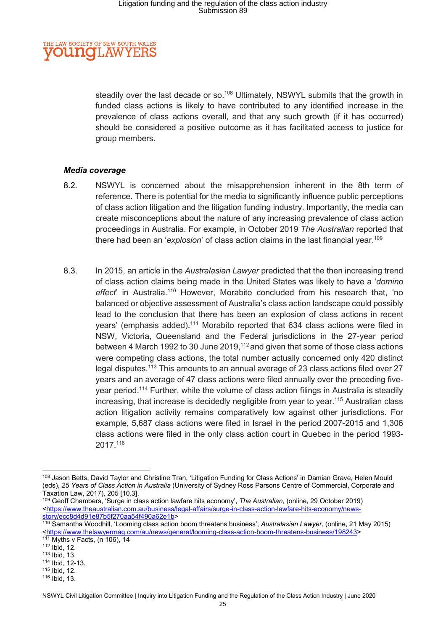#### HE LAW SOCIETY OF NEW SOUTH WALES **OUNCLAW** YE

steadily over the last decade or so.<sup>108</sup> Ultimately, NSWYL submits that the growth in funded class actions is likely to have contributed to any identified increase in the prevalence of class actions overall, and that any such growth (if it has occurred) should be considered a positive outcome as it has facilitated access to justice for group members.

#### Media coverage

- 8.2. NSWYL is concerned about the misapprehension inherent in the 8th term of reference. There is potential for the media to significantly influence public perceptions of class action litigation and the litigation funding industry. Importantly, the media can create misconceptions about the nature of any increasing prevalence of class action proceedings in Australia. For example, in October 2019 The Australian reported that there had been an 'explosion' of class action claims in the last financial vear.<sup>109</sup>
- 8.3. In 2015, an article in the Australasian Lawyer predicted that the then increasing trend of class action claims being made in the United States was likely to have a 'domino effect' in Australia.<sup>110</sup> However, Morabito concluded from his research that, 'no balanced or objective assessment of Australia's class action landscape could possibly lead to the conclusion that there has been an explosion of class actions in recent years' (emphasis added).<sup>111</sup> Morabito reported that 634 class actions were filed in NSW, Victoria, Queensland and the Federal jurisdictions in the 27-year period between 4 March 1992 to 30 June 2019,<sup>112</sup> and given that some of those class actions were competing class actions, the total number actually concerned only 420 distinct legal disputes.<sup>113</sup> This amounts to an annual average of 23 class actions filed over 27 years and an average of 47 class actions were filed annually over the preceding fiveyear period.<sup>114</sup> Further, while the volume of class action filings in Australia is steadily increasing, that increase is decidedly negligible from year to year.<sup>115</sup> Australian class action litigation activity remains comparatively low against other jurisdictions. For example, 5,687 class actions were filed in Israel in the period 2007-2015 and 1,306 class actions were filed in the only class action court in Quebec in the period 1993- 2017.<sup>116</sup>

<sup>108</sup> Jason Betts, David Taylor and Christine Tran, 'Litigation Funding for Class Actions' in Damian Grave, Helen Mould (eds), 25 Years of Class Action in Australia (University of Sydney Ross Parsons Centre of Commercial, Corporate and Taxation Law, 2017), 205 [10.3].

<sup>109</sup> Geoff Chambers, 'Surge in class action lawfare hits economy', The Australian, (online, 29 October 2019) <https://www.theaustralian.com.au/business/legal-affairs/surge-in-class-action-lawfare-hits-economy/newsstory/ecc8d4d91e87b5f270aa54f490a62e1b>

<sup>110</sup> Samantha Woodhill, 'Looming class action boom threatens business', Australasian Lawyer, (online, 21 May 2015) <https://www.thelawyermag.com/au/news/general/looming-class-action-boom-threatens-business/198243> 111 Myths v Facts, (n 106), 14

<sup>112</sup> Ibid, 12.

<sup>113</sup> Ibid, 13.

<sup>114</sup> Ibid, 12-13.

<sup>115</sup> Ibid, 12.

<sup>116</sup> Ibid, 13.

NSWYL Civil Litigation Committee | Inquiry into Litigation Funding and the Regulation of the Class Action Industry | June 2020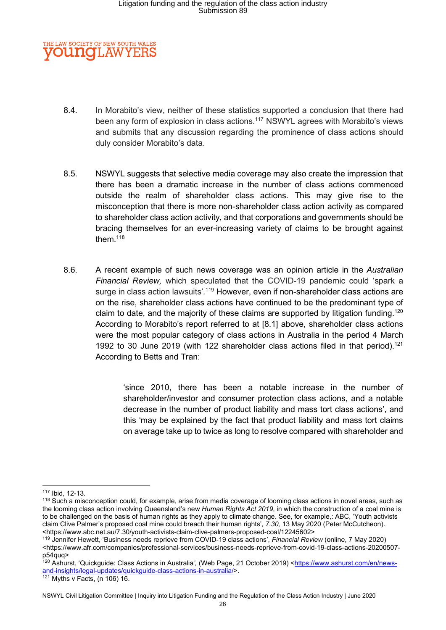### E LAW SOCIETY OF NEW SOUTH WALES **OUNGLAW**

- 8.4. In Morabito's view, neither of these statistics supported a conclusion that there had been any form of explosion in class actions.<sup>117</sup> NSWYL agrees with Morabito's views and submits that any discussion regarding the prominence of class actions should duly consider Morabito's data.
- 8.5. NSWYL suggests that selective media coverage may also create the impression that there has been a dramatic increase in the number of class actions commenced outside the realm of shareholder class actions. This may give rise to the misconception that there is more non-shareholder class action activity as compared to shareholder class action activity, and that corporations and governments should be bracing themselves for an ever-increasing variety of claims to be brought against them. $^{\rm 118}$
- 8.6. A recent example of such news coverage was an opinion article in the Australian Financial Review, which speculated that the COVID-19 pandemic could 'spark a surge in class action lawsuits'.<sup>119</sup> However, even if non-shareholder class actions are on the rise, shareholder class actions have continued to be the predominant type of claim to date, and the majority of these claims are supported by litigation funding.<sup>120</sup> According to Morabito's report referred to at [8.1] above, shareholder class actions were the most popular category of class actions in Australia in the period 4 March 1992 to 30 June 2019 (with 122 shareholder class actions filed in that period).<sup>121</sup> According to Betts and Tran:

'since 2010, there has been a notable increase in the number of shareholder/investor and consumer protection class actions, and a notable decrease in the number of product liability and mass tort class actions', and this 'may be explained by the fact that product liability and mass tort claims on average take up to twice as long to resolve compared with shareholder and

<sup>117</sup> Ibid, 12-13.

<sup>&</sup>lt;sup>118</sup> Such a misconception could, for example, arise from media coverage of looming class actions in novel areas, such as the looming class action involving Queensland's new Human Rights Act 2019, in which the construction of a coal mine is to be challenged on the basis of human rights as they apply to climate change. See, for example,: ABC, 'Youth activists claim Clive Palmer's proposed coal mine could breach their human rights', 7.30, 13 May 2020 (Peter McCutcheon). <https://www.abc.net.au/7.30/youth-activists-claim-clive-palmers-proposed-coal/12245602>

<sup>119</sup> Jennifer Hewett, 'Business needs reprieve from COVID-19 class actions', Financial Review (online, 7 May 2020) <https://www.afr.com/companies/professional-services/business-needs-reprieve-from-covid-19-class-actions-20200507 p54quq>

<sup>120</sup> Ashurst, 'Quickguide: Class Actions in Australia', (Web Page, 21 October 2019) <https://www.ashurst.com/en/newsand-insights/legal-updates/quickguide-class-actions-in-australia/>.

 $121$  Myths v Facts, (n 106) 16.

NSWYL Civil Litigation Committee | Inquiry into Litigation Funding and the Regulation of the Class Action Industry | June 2020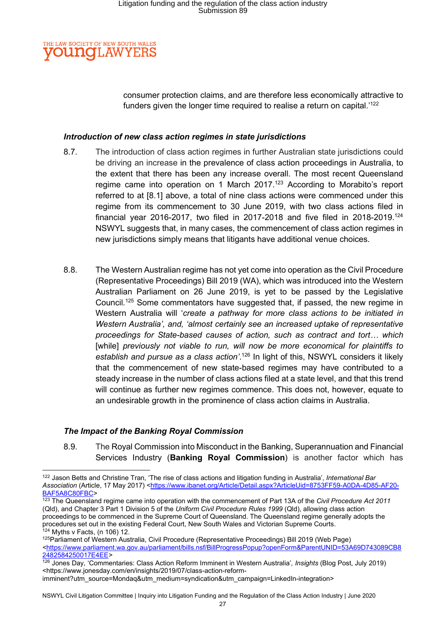#### E LAW SOCIETY OF NEW SOUTH WALES **OUNCLAW** YE

consumer protection claims, and are therefore less economically attractive to funders given the longer time required to realise a return on capital.<sup>'122</sup>

#### Introduction of new class action regimes in state jurisdictions

- 8.7. The introduction of class action regimes in further Australian state jurisdictions could be driving an increase in the prevalence of class action proceedings in Australia, to the extent that there has been any increase overall. The most recent Queensland regime came into operation on 1 March 2017.<sup>123</sup> According to Morabito's report referred to at [8.1] above, a total of nine class actions were commenced under this regime from its commencement to 30 June 2019, with two class actions filed in financial year 2016-2017, two filed in 2017-2018 and five filed in 2018-2019.<sup>124</sup> NSWYL suggests that, in many cases, the commencement of class action regimes in new jurisdictions simply means that litigants have additional venue choices.
- 8.8. The Western Australian regime has not yet come into operation as the Civil Procedure (Representative Proceedings) Bill 2019 (WA), which was introduced into the Western Australian Parliament on 26 June 2019, is yet to be passed by the Legislative Council.<sup>125</sup> Some commentators have suggested that, if passed, the new regime in Western Australia will 'create a pathway for more class actions to be initiated in Western Australia', and, 'almost certainly see an increased uptake of representative proceedings for State-based causes of action, such as contract and tort… which [while] previously not viable to run, will now be more economical for plaintiffs to establish and pursue as a class action'.<sup>126</sup> In light of this, NSWYL considers it likely that the commencement of new state-based regimes may have contributed to a steady increase in the number of class actions filed at a state level, and that this trend will continue as further new regimes commence. This does not, however, equate to an undesirable growth in the prominence of class action claims in Australia.

### The Impact of the Banking Royal Commission

8.9. The Royal Commission into Misconduct in the Banking, Superannuation and Financial Services Industry (Banking Royal Commission) is another factor which has

<sup>&</sup>lt;sup>122</sup> Jason Betts and Christine Tran, 'The rise of class actions and litigation funding in Australia', International Bar Association (Article, 17 May 2017) <https://www.ibanet.org/Article/Detail.aspx?ArticleUid=8753FF59-A0DA-4D85-AF20-BAF5A8C80FBC>

<sup>123</sup> The Queensland regime came into operation with the commencement of Part 13A of the Civil Procedure Act 2011 (Qld), and Chapter 3 Part 1 Division 5 of the Uniform Civil Procedure Rules 1999 (Qld), allowing class action proceedings to be commenced in the Supreme Court of Queensland. The Queensland regime generally adopts the procedures set out in the existing Federal Court, New South Wales and Victorian Supreme Courts.  $124$  Myths v Facts, (n 106) 12.

<sup>125</sup>Parliament of Western Australia, Civil Procedure (Representative Proceedings) Bill 2019 (Web Page) <https://www.parliament.wa.gov.au/parliament/bills.nsf/BillProgressPopup?openForm&ParentUNID=53A69D743089CB8 2482584250017E4EE>

<sup>&</sup>lt;sup>126</sup> Jones Day, 'Commentaries: Class Action Reform Imminent in Western Australia', Insights (Blog Post, July 2019) <https://www.jonesday.com/en/insights/2019/07/class-action-reformimminent?utm\_source=Mondaq&utm\_medium=syndication&utm\_campaign=LinkedIn-integration>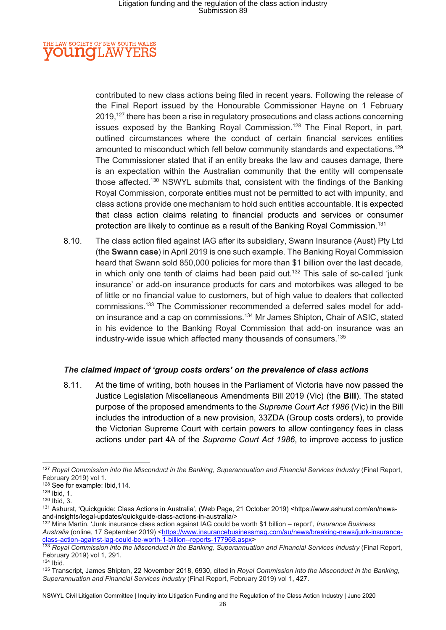#### THE LAW SOCIETY OF NEW SOUTH WALES **OUNGLAW** YE

contributed to new class actions being filed in recent years. Following the release of the Final Report issued by the Honourable Commissioner Hayne on 1 February 2019,<sup>127</sup> there has been a rise in regulatory prosecutions and class actions concerning issues exposed by the Banking Royal Commission.<sup>128</sup> The Final Report, in part, outlined circumstances where the conduct of certain financial services entities amounted to misconduct which fell below community standards and expectations.<sup>129</sup> The Commissioner stated that if an entity breaks the law and causes damage, there is an expectation within the Australian community that the entity will compensate those affected.<sup>130</sup> NSWYL submits that, consistent with the findings of the Banking Royal Commission, corporate entities must not be permitted to act with impunity, and class actions provide one mechanism to hold such entities accountable. It is expected that class action claims relating to financial products and services or consumer protection are likely to continue as a result of the Banking Royal Commission.<sup>131</sup>

8.10. The class action filed against IAG after its subsidiary, Swann Insurance (Aust) Pty Ltd (the Swann case) in April 2019 is one such example. The Banking Royal Commission heard that Swann sold 850,000 policies for more than \$1 billion over the last decade, in which only one tenth of claims had been paid out.<sup>132</sup> This sale of so-called 'junk insurance' or add-on insurance products for cars and motorbikes was alleged to be of little or no financial value to customers, but of high value to dealers that collected commissions.133 The Commissioner recommended a deferred sales model for addon insurance and a cap on commissions.<sup>134</sup> Mr James Shipton, Chair of ASIC, stated in his evidence to the Banking Royal Commission that add-on insurance was an industry-wide issue which affected many thousands of consumers.<sup>135</sup>

### The claimed impact of 'group costs orders' on the prevalence of class actions

8.11. At the time of writing, both houses in the Parliament of Victoria have now passed the Justice Legislation Miscellaneous Amendments Bill 2019 (Vic) (the Bill). The stated purpose of the proposed amendments to the Supreme Court Act 1986 (Vic) in the Bill includes the introduction of a new provision, 33ZDA (Group costs orders), to provide the Victorian Supreme Court with certain powers to allow contingency fees in class actions under part 4A of the Supreme Court Act 1986, to improve access to justice

<sup>134</sup> Ibid.

<sup>&</sup>lt;sup>127</sup> Royal Commission into the Misconduct in the Banking, Superannuation and Financial Services Industry (Final Report, February 2019) vol 1.

<sup>128</sup> See for example: Ibid, 114.

<sup>129</sup> Ibid, 1.

<sup>130</sup> Ibid, 3.

<sup>131</sup> Ashurst, 'Quickguide: Class Actions in Australia', (Web Page, 21 October 2019) <https://www.ashurst.com/en/newsand-insights/legal-updates/quickguide-class-actions-in-australia/>

<sup>132</sup> Mina Martin, 'Junk insurance class action against IAG could be worth \$1 billion – report', Insurance Business Australia (online, 17 September 2019) <https://www.insurancebusinessmag.com/au/news/breaking-news/junk-insuranceclass-action-against-iag-could-be-worth-1-billion--reports-177968.aspx>

<sup>&</sup>lt;sup>133</sup> Royal Commission into the Misconduct in the Banking, Superannuation and Financial Services Industry (Final Report, February 2019) vol 1, 291.

<sup>&</sup>lt;sup>135</sup> Transcript, James Shipton, 22 November 2018, 6930, cited in Royal Commission into the Misconduct in the Banking, Superannuation and Financial Services Industry (Final Report, February 2019) vol 1, 427.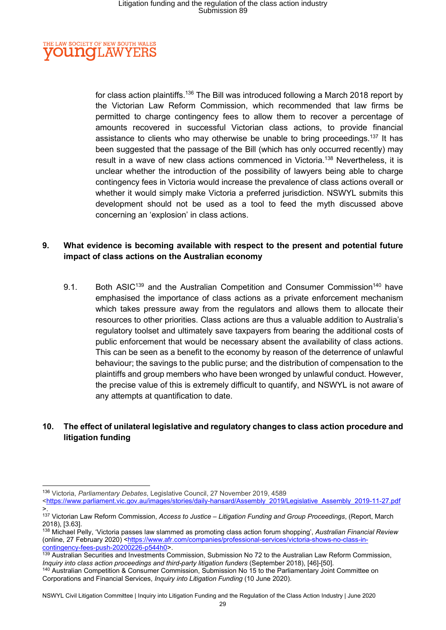#### **IE LAW SOCIETY OF NEW SOUTH WALES OUNCLAW** YE

for class action plaintiffs.<sup>136</sup> The Bill was introduced following a March 2018 report by the Victorian Law Reform Commission, which recommended that law firms be permitted to charge contingency fees to allow them to recover a percentage of amounts recovered in successful Victorian class actions, to provide financial assistance to clients who may otherwise be unable to bring proceedings.<sup>137</sup> It has been suggested that the passage of the Bill (which has only occurred recently) may result in a wave of new class actions commenced in Victoria.<sup>138</sup> Nevertheless, it is unclear whether the introduction of the possibility of lawyers being able to charge contingency fees in Victoria would increase the prevalence of class actions overall or whether it would simply make Victoria a preferred jurisdiction. NSWYL submits this development should not be used as a tool to feed the myth discussed above concerning an 'explosion' in class actions.

### 9. What evidence is becoming available with respect to the present and potential future impact of class actions on the Australian economy

9.1. Both ASIC<sup>139</sup> and the Australian Competition and Consumer Commission<sup>140</sup> have emphasised the importance of class actions as a private enforcement mechanism which takes pressure away from the regulators and allows them to allocate their resources to other priorities. Class actions are thus a valuable addition to Australia's regulatory toolset and ultimately save taxpayers from bearing the additional costs of public enforcement that would be necessary absent the availability of class actions. This can be seen as a benefit to the economy by reason of the deterrence of unlawful behaviour; the savings to the public purse; and the distribution of compensation to the plaintiffs and group members who have been wronged by unlawful conduct. However, the precise value of this is extremely difficult to quantify, and NSWYL is not aware of any attempts at quantification to date.

### 10. The effect of unilateral legislative and regulatory changes to class action procedure and litigation funding

<sup>136</sup> Victoria, Parliamentary Debates, Legislative Council, 27 November 2019, 4589

<sup>&</sup>lt;https://www.parliament.vic.gov.au/images/stories/daily-hansard/Assembly\_2019/Legislative\_Assembly\_2019-11-27.pdf >.

<sup>137</sup> Victorian Law Reform Commission, Access to Justice - Litigation Funding and Group Proceedings, (Report, March 2018), [3.63].

<sup>138</sup> Michael Pelly, 'Victoria passes law slammed as promoting class action forum shopping', Australian Financial Review (online, 27 February 2020) <https://www.afr.com/companies/professional-services/victoria-shows-no-class-incontingency-fees-push-20200226-p544h0>.

<sup>139</sup> Australian Securities and Investments Commission, Submission No 72 to the Australian Law Reform Commission, Inquiry into class action proceedings and third-party litigation funders (September 2018), [46]-[50].

<sup>140</sup> Australian Competition & Consumer Commission, Submission No 15 to the Parliamentary Joint Committee on Corporations and Financial Services, Inquiry into Litigation Funding (10 June 2020).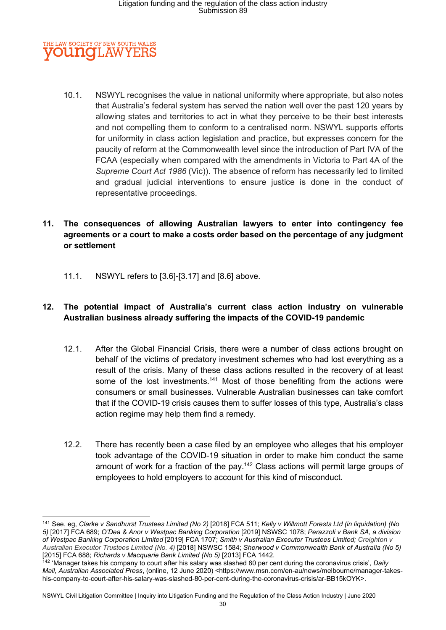#### THE LAW SOCIETY OF NEW SOUTH WALES **OUNCLAW** ΥF

10.1. NSWYL recognises the value in national uniformity where appropriate, but also notes that Australia's federal system has served the nation well over the past 120 years by allowing states and territories to act in what they perceive to be their best interests and not compelling them to conform to a centralised norm. NSWYL supports efforts for uniformity in class action legislation and practice, but expresses concern for the paucity of reform at the Commonwealth level since the introduction of Part IVA of the FCAA (especially when compared with the amendments in Victoria to Part 4A of the Supreme Court Act 1986 (Vic)). The absence of reform has necessarily led to limited and gradual judicial interventions to ensure justice is done in the conduct of representative proceedings.

### 11. The consequences of allowing Australian lawyers to enter into contingency fee agreements or a court to make a costs order based on the percentage of any judgment or settlement

11.1. NSWYL refers to [3.6]-[3.17] and [8.6] above.

### 12. The potential impact of Australia's current class action industry on vulnerable Australian business already suffering the impacts of the COVID-19 pandemic

- 12.1. After the Global Financial Crisis, there were a number of class actions brought on behalf of the victims of predatory investment schemes who had lost everything as a result of the crisis. Many of these class actions resulted in the recovery of at least some of the lost investments.<sup>141</sup> Most of those benefiting from the actions were consumers or small businesses. Vulnerable Australian businesses can take comfort that if the COVID-19 crisis causes them to suffer losses of this type, Australia's class action regime may help them find a remedy.
- 12.2. There has recently been a case filed by an employee who alleges that his employer took advantage of the COVID-19 situation in order to make him conduct the same amount of work for a fraction of the pay.<sup>142</sup> Class actions will permit large groups of employees to hold employers to account for this kind of misconduct.

<sup>141</sup> See, eg, Clarke v Sandhurst Trustees Limited (No 2) [2018] FCA 511; Kelly v Willmott Forests Ltd (in liquidation) (No 5) [2017] FCA 689; O'Dea & Anor v Westpac Banking Corporation [2019] NSWSC 1078; Perazzoli v Bank SA, a division of Westpac Banking Corporation Limited [2019] FCA 1707; Smith v Australian Executor Trustees Limited; Creighton v Australian Executor Trustees Limited (No. 4) [2018] NSWSC 1584; Sherwood v Commonwealth Bank of Australia (No 5) [2015] FCA 688; Richards v Macquarie Bank Limited (No 5) [2013] FCA 1442.

 $142$  'Manager takes his company to court after his salary was slashed 80 per cent during the coronavirus crisis', Daily Mail, Australian Associated Press, (online, 12 June 2020) <https://www.msn.com/en-au/news/melbourne/manager-takeshis-company-to-court-after-his-salary-was-slashed-80-per-cent-during-the-coronavirus-crisis/ar-BB15kOYK>.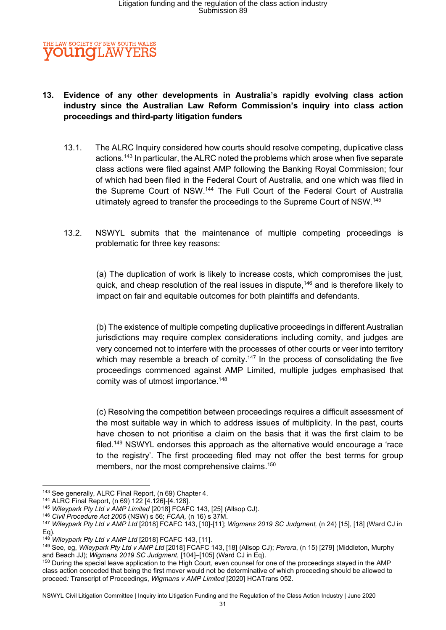

### 13. Evidence of any other developments in Australia's rapidly evolving class action industry since the Australian Law Reform Commission's inquiry into class action proceedings and third-party litigation funders

- 13.1. The ALRC Inquiry considered how courts should resolve competing, duplicative class actions.<sup>143</sup> In particular, the ALRC noted the problems which arose when five separate class actions were filed against AMP following the Banking Royal Commission; four of which had been filed in the Federal Court of Australia, and one which was filed in the Supreme Court of NSW.<sup>144</sup> The Full Court of the Federal Court of Australia ultimately agreed to transfer the proceedings to the Supreme Court of NSW.<sup>145</sup>
- 13.2. NSWYL submits that the maintenance of multiple competing proceedings is problematic for three key reasons:

(a) The duplication of work is likely to increase costs, which compromises the just, quick, and cheap resolution of the real issues in dispute.<sup>146</sup> and is therefore likely to impact on fair and equitable outcomes for both plaintiffs and defendants.

(b) The existence of multiple competing duplicative proceedings in different Australian jurisdictions may require complex considerations including comity, and judges are very concerned not to interfere with the processes of other courts or veer into territory which may resemble a breach of comity.<sup>147</sup> In the process of consolidating the five proceedings commenced against AMP Limited, multiple judges emphasised that comity was of utmost importance.<sup>148</sup>

(c) Resolving the competition between proceedings requires a difficult assessment of the most suitable way in which to address issues of multiplicity. In the past, courts have chosen to not prioritise a claim on the basis that it was the first claim to be filed.<sup>149</sup> NSWYL endorses this approach as the alternative would encourage a 'race to the registry'. The first proceeding filed may not offer the best terms for group members, nor the most comprehensive claims.<sup>150</sup>

<sup>143</sup> See generally, ALRC Final Report, (n 69) Chapter 4.

<sup>144</sup> ALRC Final Report, (n 69) 122 [4.126]-[4.128].

<sup>&</sup>lt;sup>145</sup> Wileypark Pty Ltd v AMP Limited [2018] FCAFC 143, [25] (Allsop CJ).

<sup>146</sup> Civil Procedure Act 2005 (NSW) s 56; FCAA, (n 16) s 37M.

<sup>&</sup>lt;sup>147</sup> Wileypark Pty Ltd v AMP Ltd [2018] FCAFC 143, [10]-[11]; Wigmans 2019 SC Judgment, (n 24) [15], [18] (Ward CJ in Eq).

<sup>&</sup>lt;sup>148</sup> Wileypark Pty Ltd v AMP Ltd [2018] FCAFC 143, [11].

<sup>149</sup> See, eg, Wileypark Pty Ltd v AMP Ltd [2018] FCAFC 143, [18] (Allsop CJ); Perera, (n 15) [279] (Middleton, Murphy and Beach JJ); Wigmans 2019 SC Judgment, [104]–[105] (Ward CJ in Eq).

<sup>150</sup> During the special leave application to the High Court, even counsel for one of the proceedings stayed in the AMP class action conceded that being the first mover would not be determinative of which proceeding should be allowed to proceed: Transcript of Proceedings, Wigmans v AMP Limited [2020] HCATrans 052.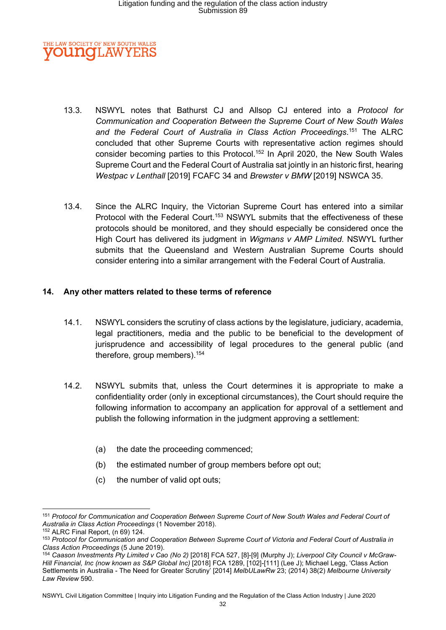

- 13.3. NSWYL notes that Bathurst CJ and Allsop CJ entered into a Protocol for Communication and Cooperation Between the Supreme Court of New South Wales and the Federal Court of Australia in Class Action Proceedings.<sup>151</sup> The ALRC concluded that other Supreme Courts with representative action regimes should consider becoming parties to this Protocol.<sup>152</sup> In April 2020, the New South Wales Supreme Court and the Federal Court of Australia sat jointly in an historic first, hearing Westpac v Lenthall [2019] FCAFC 34 and Brewster v BMW [2019] NSWCA 35.
- 13.4. Since the ALRC Inquiry, the Victorian Supreme Court has entered into a similar Protocol with the Federal Court.<sup>153</sup> NSWYL submits that the effectiveness of these protocols should be monitored, and they should especially be considered once the High Court has delivered its judgment in Wigmans v AMP Limited. NSWYL further submits that the Queensland and Western Australian Supreme Courts should consider entering into a similar arrangement with the Federal Court of Australia.

#### 14. Any other matters related to these terms of reference

- 14.1. NSWYL considers the scrutiny of class actions by the legislature, judiciary, academia, legal practitioners, media and the public to be beneficial to the development of jurisprudence and accessibility of legal procedures to the general public (and therefore, group members).<sup>154</sup>
- 14.2. NSWYL submits that, unless the Court determines it is appropriate to make a confidentiality order (only in exceptional circumstances), the Court should require the following information to accompany an application for approval of a settlement and publish the following information in the judgment approving a settlement:
	- (a) the date the proceeding commenced;
	- (b) the estimated number of group members before opt out;
	- (c) the number of valid opt outs;

<sup>151</sup> Protocol for Communication and Cooperation Between Supreme Court of New South Wales and Federal Court of Australia in Class Action Proceedings (1 November 2018).

<sup>152</sup> ALRC Final Report, (n 69) 124.

<sup>153</sup> Protocol for Communication and Cooperation Between Supreme Court of Victoria and Federal Court of Australia in Class Action Proceedings (5 June 2019).

<sup>154</sup> Caason Investments Pty Limited v Cao (No 2) [2018] FCA 527, [8]-[9] (Murphy J); Liverpool City Council v McGraw-Hill Financial, Inc (now known as S&P Global Inc) [2018] FCA 1289, [102]-[111] (Lee J); Michael Legg, 'Class Action Settlements in Australia - The Need for Greater Scrutiny<sup>7</sup> [2014] MelbULawRw 23; (2014) 38(2) Melbourne University Law Review 590.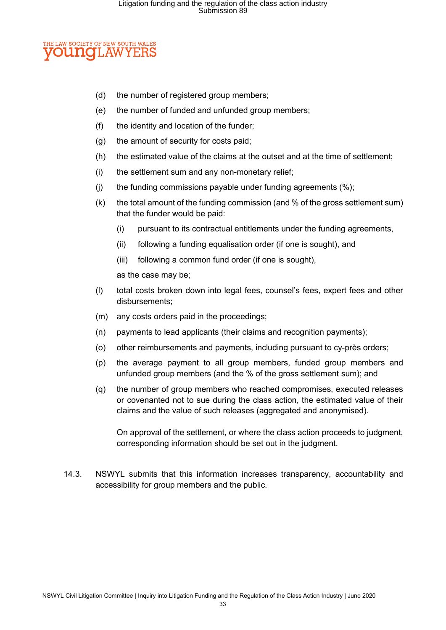#### **ELAW SOCIETY OF NEW SOUTH WALES OUNCLAW** YE

- (d) the number of registered group members;
- (e) the number of funded and unfunded group members;
- (f) the identity and location of the funder;
- (g) the amount of security for costs paid;
- (h) the estimated value of the claims at the outset and at the time of settlement;
- (i) the settlement sum and any non-monetary relief;
- (i) the funding commissions payable under funding agreements  $(\%)$ ;
- (k) the total amount of the funding commission (and % of the gross settlement sum) that the funder would be paid:
	- (i) pursuant to its contractual entitlements under the funding agreements,
	- (ii) following a funding equalisation order (if one is sought), and
	- (iii) following a common fund order (if one is sought),

as the case may be;

- (l) total costs broken down into legal fees, counsel's fees, expert fees and other disbursements;
- (m) any costs orders paid in the proceedings;
- (n) payments to lead applicants (their claims and recognition payments);
- (o) other reimbursements and payments, including pursuant to cy-près orders;
- (p) the average payment to all group members, funded group members and unfunded group members (and the % of the gross settlement sum); and
- (q) the number of group members who reached compromises, executed releases or covenanted not to sue during the class action, the estimated value of their claims and the value of such releases (aggregated and anonymised).

On approval of the settlement, or where the class action proceeds to judgment, corresponding information should be set out in the judgment.

14.3. NSWYL submits that this information increases transparency, accountability and accessibility for group members and the public.